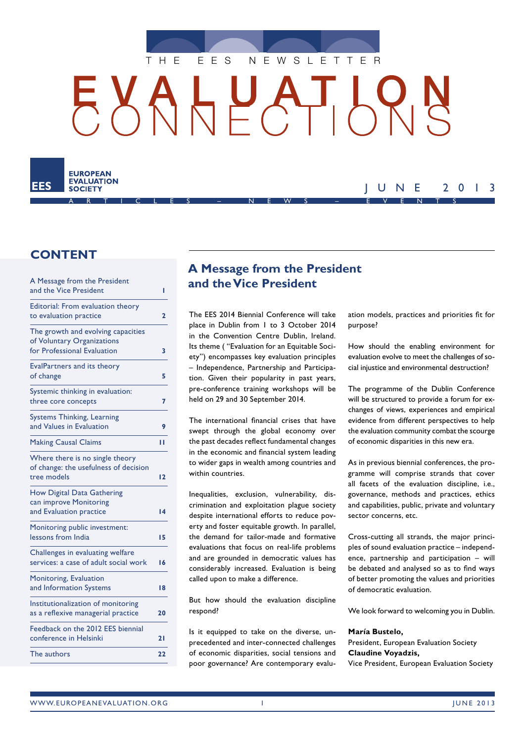

# HUAT K

ARTICLES – NEWS – EVENTS



# JUNE 2013

## **CONTENT**

| A Message from the President<br>and the Vice President                                          | ı                       |
|-------------------------------------------------------------------------------------------------|-------------------------|
| Editorial: From evaluation theory<br>to evaluation practice                                     | $\overline{\mathbf{c}}$ |
| The growth and evolving capacities<br>of Voluntary Organizations<br>for Professional Evaluation | 3                       |
| <b>EvalPartners and its theory</b><br>of change                                                 | 5                       |
| Systemic thinking in evaluation:<br>three core concepts                                         | 7                       |
| Systems Thinking, Learning<br>and Values in Evaluation                                          | 9                       |
| <b>Making Causal Claims</b>                                                                     | п                       |
| Where there is no single theory<br>of change: the usefulness of decision<br>tree models         | 12                      |
| How Digital Data Gathering<br>can improve Monitoring<br>and Evaluation practice                 | 14                      |
| Monitoring public investment:<br>lessons from India                                             | 15                      |
| Challenges in evaluating welfare<br>services: a case of adult social work                       | 16                      |
| Monitoring, Evaluation<br>and Information Systems                                               | 18                      |
| Institutionalization of monitoring<br>as a reflexive managerial practice                        | 20                      |
| Feedback on the 2012 EES biennial<br>conference in Helsinki                                     | 21                      |
| The authors                                                                                     | 22                      |

# **A Message from the President and the Vice President**

The EES 2014 Biennial Conference will take place in Dublin from 1 to 3 October 2014 in the Convention Centre Dublin, Ireland. Its theme ( "Evaluation for an Equitable Society") encompasses key evaluation principles – Independence, Partnership and Participation. Given their popularity in past years, pre-conference training workshops will be held on 29 and 30 September 2014.

The international financial crises that have swept through the global economy over the past decades reflect fundamental changes in the economic and financial system leading to wider gaps in wealth among countries and within countries.

Inequalities, exclusion, vulnerability, discrimination and exploitation plague society despite international efforts to reduce poverty and foster equitable growth. In parallel, the demand for tailor-made and formative evaluations that focus on real-life problems and are grounded in democratic values has considerably increased. Evaluation is being called upon to make a difference.

But how should the evaluation discipline respond?

Is it equipped to take on the diverse, unprecedented and inter-connected challenges of economic disparities, social tensions and poor governance? Are contemporary evaluation models, practices and priorities fit for purpose?

How should the enabling environment for evaluation evolve to meet the challenges of social injustice and environmental destruction?

The programme of the Dublin Conference will be structured to provide a forum for exchanges of views, experiences and empirical evidence from different perspectives to help the evaluation community combat the scourge of economic disparities in this new era.

As in previous biennial conferences, the programme will comprise strands that cover all facets of the evaluation discipline, i.e., governance, methods and practices, ethics and capabilities, public, private and voluntary sector concerns, etc.

Cross-cutting all strands, the major principles of sound evaluation practice – independence, partnership and participation – will be debated and analysed so as to find ways of better promoting the values and priorities of democratic evaluation.

We look forward to welcoming you in Dublin.

#### **María Bustelo,**

President, European Evaluation Society **Claudine Voyadzis,**  Vice President, European Evaluation Society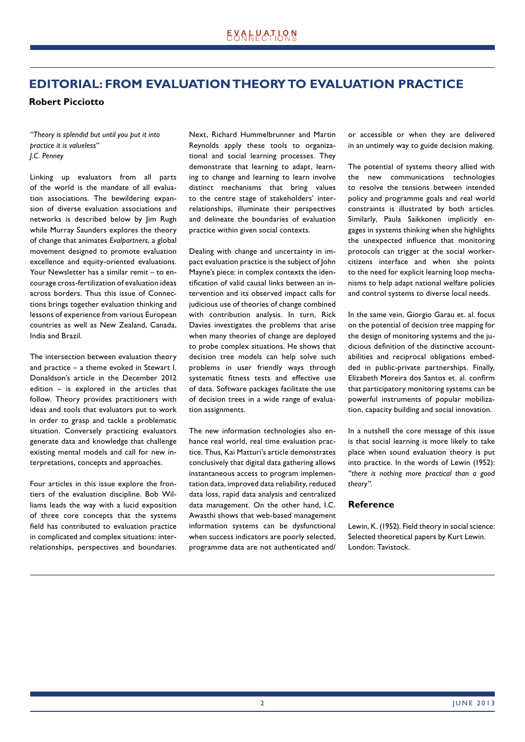# **EDITORIAL: FROM EVALUATION THEORY TO EVALUATION PRACTICE**

**Robert Picciotto**

*"Theory is splendid but until you put it into practice it is valueless" J.C. Penney*

Linking up evaluators from all parts of the world is the mandate of all evaluation associations. The bewildering expansion of diverse evaluation associations and networks is described below by Jim Rugh while Murray Saunders explores the theory of change that animates *Evalpartners*, a global movement designed to promote evaluation excellence and equity-oriented evaluations. Your Newsletter has a similar remit – to encourage cross-fertilization of evaluation ideas across borders. Thus this issue of Connections brings together evaluation thinking and lessons of experience from various European countries as well as New Zealand, Canada, India and Brazil.

The intersection between evaluation theory and practice – a theme evoked in Stewart I. Donaldson's article in the December 2012 edition – is explored in the articles that follow. Theory provides practitioners with ideas and tools that evaluators put to work in order to grasp and tackle a problematic situation. Conversely practicing evaluators generate data and knowledge that challenge existing mental models and call for new interpretations, concepts and approaches.

Four articles in this issue explore the frontiers of the evaluation discipline. Bob Williams leads the way with a lucid exposition of three core concepts that the systems field has contributed to evaluation practice in complicated and complex situations: interrelationships, perspectives and boundaries. Next, Richard Hummelbrunner and Martin Reynolds apply these tools to organizational and social learning processes. They demonstrate that learning to adapt, learning to change and learning to learn involve distinct mechanisms that bring values to the centre stage of stakeholders' interrelationships, illuminate their perspectives and delineate the boundaries of evaluation practice within given social contexts.

Dealing with change and uncertainty in impact evaluation practice is the subject of John Mayne's piece: in complex contexts the identification of valid causal links between an intervention and its observed impact calls for judicious use of theories of change combined with contribution analysis. In turn, Rick Davies investigates the problems that arise when many theories of change are deployed to probe complex situations. He shows that decision tree models can help solve such problems in user friendly ways through systematic fitness tests and effective use of data. Software packages facilitate the use of decision trees in a wide range of evaluation assignments.

The new information technologies also enhance real world, real time evaluation practice. Thus, Kai Matturi's article demonstrates conclusively that digital data gathering allows instantaneous access to program implementation data, improved data reliability, reduced data loss, rapid data analysis and centralized data management. On the other hand, I.C. Awasthi shows that web-based management information systems can be dysfunctional when success indicators are poorly selected, programme data are not authenticated and/

or accessible or when they are delivered in an untimely way to guide decision making.

The potential of systems theory allied with the new communications technologies to resolve the tensions between intended policy and programme goals and real world constraints is illustrated by both articles. Similarly, Paula Saikkonen implicitly engages in systems thinking when she highlights the unexpected influence that monitoring protocols can trigger at the social workercitizens interface and when she points to the need for explicit learning loop mechanisms to help adapt national welfare policies and control systems to diverse local needs.

In the same vein, Giorgio Garau et. al. focus on the potential of decision tree mapping for the design of monitoring systems and the judicious definition of the distinctive accountabilities and reciprocal obligations embedded in public-private partnerships. Finally, Elizabeth Moreira dos Santos et. al. confirm that participatory monitoring systems can be powerful instruments of popular mobilization, capacity building and social innovation.

In a nutshell the core message of this issue is that social learning is more likely to take place when sound evaluation theory is put into practice. In the words of Lewin (1952): *"there is nothing more practical than a good theory"*.

## **Reference**

Lewin, K. (1952). Field theory in social science: Selected theoretical papers by Kurt Lewin. London: Tavistock.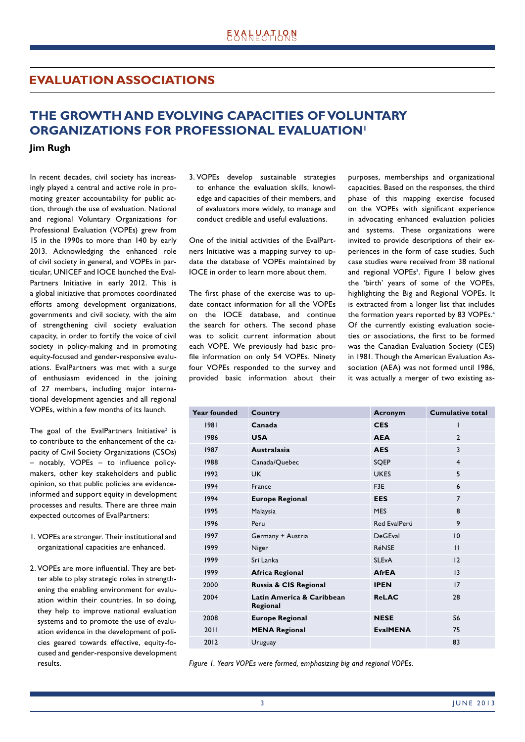## **EVALUATION ASSOCIATIONS**

## **THE GROWTH AND EVOLVING CAPACITIES OF VOLUNTARY ORGANIZATIONS FOR PROFESSIONAL EVALUATION1**

**Jim Rugh**

In recent decades, civil society has increasingly played a central and active role in promoting greater accountability for public action, through the use of evaluation. National and regional Voluntary Organizations for Professional Evaluation (VOPEs) grew from 15 in the 1990s to more than 140 by early 2013. Acknowledging the enhanced role of civil society in general, and VOPEs in particular, UNICEF and IOCE launched the Eval-Partners Initiative in early 2012. This is a global initiative that promotes coordinated efforts among development organizations, governments and civil society, with the aim of strengthening civil society evaluation capacity, in order to fortify the voice of civil society in policy-making and in promoting equity-focused and gender-responsive evaluations. EvalPartners was met with a surge of enthusiasm evidenced in the joining of 27 members, including major international development agencies and all regional VOPEs, within a few months of its launch.

The goal of the EvalPartners Initiative<sup>2</sup> is to contribute to the enhancement of the capacity of Civil Society Organizations (CSOs)  $-$  notably, VOPEs  $-$  to influence policymakers, other key stakeholders and public opinion, so that public policies are evidenceinformed and support equity in development processes and results. There are three main expected outcomes of EvalPartners:

- 1. VOPEs are stronger. Their institutional and organizational capacities are enhanced.
- 2. VOPEs are more influential. They are better able to play strategic roles in strengthening the enabling environment for evaluation within their countries. In so doing, they help to improve national evaluation systems and to promote the use of evaluation evidence in the development of policies geared towards effective, equity-focused and gender-responsive development results.

3. VOPEs develop sustainable strategies to enhance the evaluation skills, knowledge and capacities of their members, and of evaluators more widely, to manage and conduct credible and useful evaluations.

One of the initial activities of the EvalPartners Initiative was a mapping survey to update the database of VOPEs maintained by IOCE in order to learn more about them.

The first phase of the exercise was to update contact information for all the VOPEs on the IOCE database, and continue the search for others. The second phase was to solicit current information about each VOPE. We previously had basic profile information on only 54 VOPEs. Ninety four VOPEs responded to the survey and provided basic information about their purposes, memberships and organizational capacities. Based on the responses, the third phase of this mapping exercise focused on the VOPEs with significant experience in advocating enhanced evaluation policies and systems. These organizations were invited to provide descriptions of their experiences in the form of case studies. Such case studies were received from 38 national and regional VOPEs<sup>3</sup>. Figure I below gives the 'birth' years of some of the VOPEs, highlighting the Big and Regional VOPEs. It is extracted from a longer list that includes the formation years reported by 83 VOPEs.<sup>4</sup> Of the currently existing evaluation societies or associations, the first to be formed was the Canadian Evaluation Society (CES) in 1981. Though the American Evaluation Association (AEA) was not formed until 1986, it was actually a merger of two existing as-

| Country                               | Acronym         | <b>Cumulative total</b> |
|---------------------------------------|-----------------|-------------------------|
| Canada                                | <b>CES</b>      | ı                       |
| <b>USA</b>                            | <b>AEA</b>      | $\overline{2}$          |
| <b>Australasia</b>                    | <b>AES</b>      | 3                       |
| Canada/Quebec                         | SQEP            | $\overline{4}$          |
| <b>UK</b>                             | <b>UKES</b>     | 5                       |
| France                                | F3E             | 6                       |
| <b>Europe Regional</b>                | <b>EES</b>      | $\overline{7}$          |
| Malaysia                              | <b>MES</b>      | 8                       |
| Peru                                  | Red EvalPerú    | 9                       |
| Germany + Austria                     | <b>DeGEval</b>  | 10                      |
| Niger                                 | <b>RéNSE</b>    | $\mathbf{H}$            |
| Sri Lanka                             | <b>SLEvA</b>    | 12                      |
| <b>Africa Regional</b>                | <b>AfrEA</b>    | 13                      |
| Russia & CIS Regional                 | <b>IPEN</b>     | 17                      |
| Latin America & Caribbean<br>Regional | <b>ReLAC</b>    | 28                      |
| <b>Europe Regional</b>                | <b>NESE</b>     | 56                      |
| <b>MENA Regional</b>                  | <b>EvalMENA</b> | 75                      |
| Uruguay                               |                 | 83                      |
|                                       |                 |                         |

*Figure 1. Years VOPEs were formed, emphasizing big and regional VOPEs.*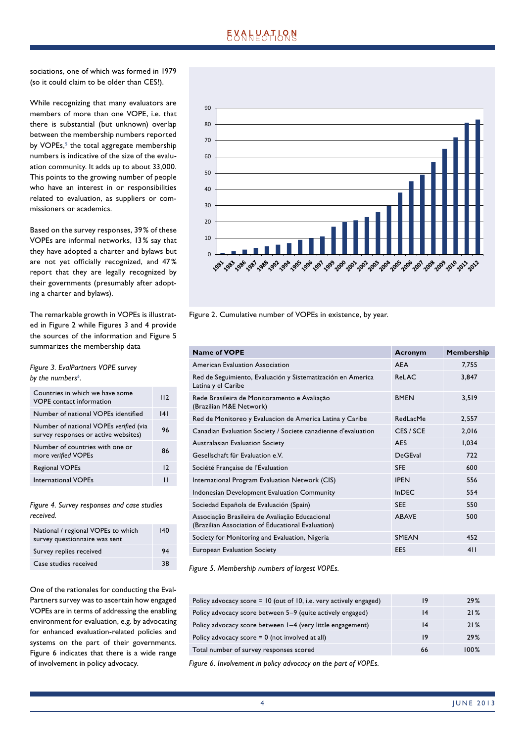# **EXALPATION**

sociations, one of which was formed in 1979 (so it could claim to be older than CES!).

While recognizing that many evaluators are members of more than one VOPE, i.e. that there is substantial (but unknown) overlap between the membership numbers reported by VOPEs,<sup>5</sup> the total aggregate membership numbers is indicative of the size of the evaluation community. It adds up to about 33,000. This points to the growing number of people who have an interest in or responsibilities related to evaluation, as suppliers or commissioners or academics.

Based on the survey responses, 39 % of these VOPEs are informal networks, 13 % say that they have adopted a charter and bylaws but are not yet officially recognized, and 47% report that they are legally recognized by their governments (presumably after adopting a charter and bylaws).

The remarkable growth in VOPEs is illustrated in Figure 2 while Figures 3 and 4 provide the sources of the information and Figure 5 summarizes the membership data

*Figure 3. EvalPartners VOPE survey*  by the numbers<sup>6</sup>. *.*

| Countries in which we have some<br>VOPE contact information                    | 112 |
|--------------------------------------------------------------------------------|-----|
| Number of national VOPEs identified                                            | 4   |
| Number of national VOPEs verified (via<br>survey responses or active websites) | 96  |
| Number of countries with one or<br>more verified VOPEs                         | 86  |
| <b>Regional VOPEs</b>                                                          | 12  |
| International VOPEs                                                            |     |

## *Figure 4. Survey responses and case studies received.*

| National / regional VOPEs to which<br>survey questionnaire was sent | 140 |
|---------------------------------------------------------------------|-----|
| Survey replies received                                             | 94  |
| Case studies received                                               | 38  |

One of the rationales for conducting the Eval-Partners survey was to ascertain how engaged VOPEs are in terms of addressing the enabling environment for evaluation, e.g. by advocating for enhanced evaluation-related policies and systems on the part of their governments. Figure 6 indicates that there is a wide range of involvement in policy advocacy.



Figure 2. Cumulative number of VOPEs in existence, by year.

| <b>Name of VOPE</b>                                                                                 | Acronym        | Membership |
|-----------------------------------------------------------------------------------------------------|----------------|------------|
| American Evaluation Association                                                                     | <b>AEA</b>     | 7,755      |
| Red de Seguimiento, Evaluación y Sistematización en America<br>Latina y el Caribe                   | ReLAC          | 3,847      |
| Rede Brasileira de Monitoramento e Avaliação<br>(Brazilian M&E Network)                             | <b>BMFN</b>    | 3,519      |
| Red de Monitoreo y Evaluacion de America Latina y Caribe                                            | RedLacMe       | 2,557      |
| Canadian Evaluation Society / Societe canadienne d'evaluation                                       | CES / SCE      | 2,016      |
| Australasian Evaluation Society                                                                     | AES            | 1,034      |
| Gesellschaft für Evaluation e.V.                                                                    | <b>DeGFval</b> | 722        |
| Société Française de l'Évaluation                                                                   | <b>SFF</b>     | 600        |
| International Program Evaluation Network (CIS)                                                      | <b>IPEN</b>    | 556        |
| Indonesian Development Evaluation Community                                                         | $In$ DFC       | 554        |
| Sociedad Española de Evaluación (Spain)                                                             | <b>SEE</b>     | 550        |
| Associação Brasileira de Avaliação Educacional<br>(Brazilian Association of Educational Evaluation) | <b>ABAVF</b>   | 500        |
| Society for Monitoring and Evaluation, Nigeria                                                      | <b>SMEAN</b>   | 452        |
| <b>European Evaluation Society</b>                                                                  | EES            | 411        |

*Figure 5. Membership numbers of largest VOPEs.*

| Policy advocacy score = 10 (out of 10, i.e. very actively engaged) | 19 | 29%  |
|--------------------------------------------------------------------|----|------|
| Policy advocacy score between 5–9 (quite actively engaged)         | 14 | 21%  |
| Policy advocacy score between 1-4 (very little engagement)         | 14 | 21%  |
| Policy advocacy score $= 0$ (not involved at all)                  | 19 | 29%  |
| Total number of survey responses scored                            | 66 | 100% |

*Figure 6. Involvement in policy advocacy on the part of VOPEs.*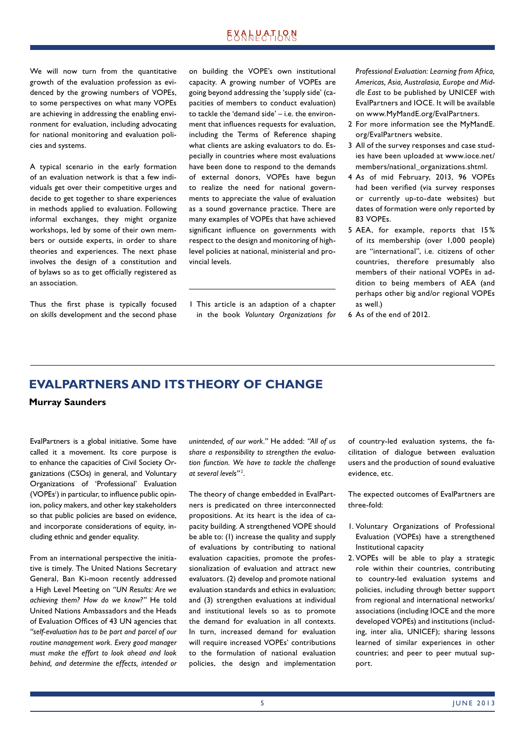We will now turn from the quantitative growth of the evaluation profession as evidenced by the growing numbers of VOPEs, to some perspectives on what many VOPEs are achieving in addressing the enabling environment for evaluation, including advocating for national monitoring and evaluation policies and systems.

A typical scenario in the early formation of an evaluation network is that a few individuals get over their competitive urges and decide to get together to share experiences in methods applied to evaluation. Following informal exchanges, they might organize workshops, led by some of their own members or outside experts, in order to share theories and experiences. The next phase involves the design of a constitution and of bylaws so as to get officially registered as an association.

Thus the first phase is typically focused on skills development and the second phase on building the VOPE's own institutional capacity. A growing number of VOPEs are going beyond addressing the 'supply side' (capacities of members to conduct evaluation) to tackle the 'demand side' – i.e. the environment that influences requests for evaluation, including the Terms of Reference shaping what clients are asking evaluators to do. Especially in countries where most evaluations have been done to respond to the demands of external donors, VOPEs have begun to realize the need for national governments to appreciate the value of evaluation as a sound governance practice. There are many examples of VOPEs that have achieved significant influence on governments with respect to the design and monitoring of highlevel policies at national, ministerial and provincial levels.

1 This article is an adaption of a chapter in the book *Voluntary Organizations for*  *Professional Evaluation: Learning from Africa, Americas, Asia, Australasia, Europe and Middle East* to be published by UNICEF with EvalPartners and IOCE. It will be available on www.MyMandE.org/EvalPartners.

- 2 For more information see the MyMandE. org/EvalPartners website.
- 3 All of the survey responses and case studies have been uploaded at www.ioce.net/ members/national\_organizations.shtml.
- 4 As of mid February, 2013, 96 VOPEs had been verified (via survey responses or currently up-to-date websites) but dates of formation were only reported by 83 VOPEs.
- 5 AEA, for example, reports that 15 % of its membership (over 1,000 people) are "international", i.e. citizens of other countries, therefore presumably also members of their national VOPEs in addition to being members of AEA (and perhaps other big and/or regional VOPEs as well.)
- 6 As of the end of 2012.

## **EVALPARTNERS AND ITS THEORY OF CHANGE**

**Murray Saunders**

EvalPartners is a global initiative. Some have called it a movement. Its core purpose is to enhance the capacities of Civil Society Organizations (CSOs) in general, and Voluntary Organizations of 'Professional' Evaluation (VOPEs<sup>1</sup>) in particular, to influence public opinion, policy makers, and other key stakeholders so that public policies are based on evidence, and incorporate considerations of equity, including ethnic and gender equality.

From an international perspective the initiative is timely. The United Nations Secretary General, Ban Ki-moon recently addressed a High Level Meeting on *"UN Results: Are we achieving them? How do we know?"* He told United Nations Ambassadors and the Heads of Evaluation Offices of 43 UN agencies that *"self-evaluation has to be part and parcel of our routine management work. Every good manager must make the effort to look ahead and look behind, and determine the effects, intended or*  *unintended, of our work."* He added: *"All of us share a responsibility to strengthen the evaluation function. We have to tackle the challenge at several levels"* <sup>2</sup> .

The theory of change embedded in EvalPartners is predicated on three interconnected propositions. At its heart is the idea of capacity building. A strengthened VOPE should be able to: (1) increase the quality and supply of evaluations by contributing to national evaluation capacities, promote the professionalization of evaluation and attract new evaluators. (2) develop and promote national evaluation standards and ethics in evaluation; and (3) strengthen evaluations at individual and institutional levels so as to promote the demand for evaluation in all contexts. In turn, increased demand for evaluation will require increased VOPEs' contributions to the formulation of national evaluation policies, the design and implementation of country-led evaluation systems, the facilitation of dialogue between evaluation users and the production of sound evaluative evidence, etc.

The expected outcomes of EvalPartners are three-fold:

- 1. Voluntary Organizations of Professional Evaluation (VOPEs) have a strengthened Institutional capacity
- 2. VOPEs will be able to play a strategic role within their countries, contributing to country-led evaluation systems and policies, including through better support from regional and international networks/ associations (including IOCE and the more developed VOPEs) and institutions (including, inter alia, UNICEF); sharing lessons learned of similar experiences in other countries; and peer to peer mutual support.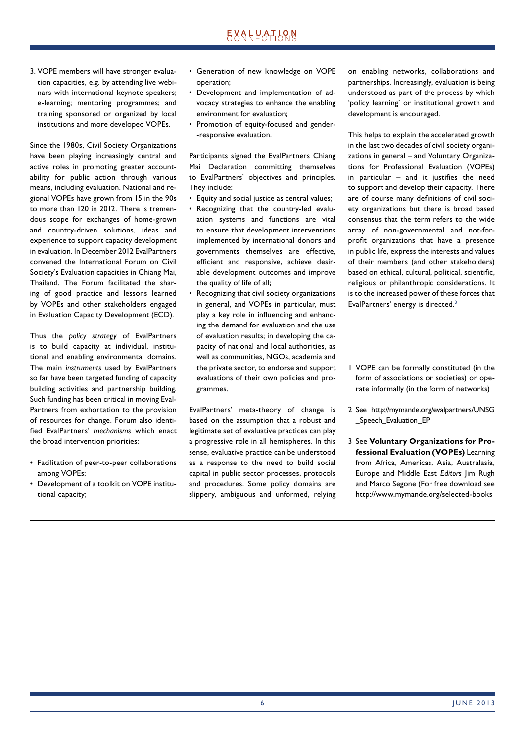3. VOPE members will have stronger evaluation capacities, e.g. by attending live webinars with international keynote speakers; e-learning; mentoring programmes; and training sponsored or organized by local institutions and more developed VOPEs.

Since the 1980s, Civil Society Organizations have been playing increasingly central and active roles in promoting greater accountability for public action through various means, including evaluation. National and regional VOPEs have grown from 15 in the 90s to more than 120 in 2012. There is tremendous scope for exchanges of home-grown and country-driven solutions, ideas and experience to support capacity development in evaluation. In December 2012 EvalPartners convened the International Forum on Civil Society's Evaluation capacities in Chiang Mai, Thailand. The Forum facilitated the sharing of good practice and lessons learned by VOPEs and other stakeholders engaged in Evaluation Capacity Development (ECD).

Thus the *policy strategy* of EvalPartners is to build capacity at individual, institutional and enabling environmental domains. The main *instruments* used by EvalPartners so far have been targeted funding of capacity building activities and partnership building. Such funding has been critical in moving Eval-Partners from exhortation to the provision of resources for change. Forum also identified EvalPartners' *mechanisms* which enact the broad intervention priorities:

- Facilitation of peer-to-peer collaborations among VOPEs;
- Development of a toolkit on VOPE institutional capacity;
- Generation of new knowledge on VOPE operation;
- Development and implementation of advocacy strategies to enhance the enabling environment for evaluation;
- Promotion of equity-focused and gender- -responsive evaluation.

Participants signed the EvalPartners Chiang Mai Declaration committing themselves to EvalPartners' objectives and principles. They include:

- Equity and social justice as central values;
- Recognizing that the country-led evaluation systems and functions are vital to ensure that development interventions implemented by international donors and governments themselves are effective, efficient and responsive, achieve desirable development outcomes and improve the quality of life of all;
- Recognizing that civil society organizations in general, and VOPEs in particular, must play a key role in influencing and enhancing the demand for evaluation and the use of evaluation results; in developing the capacity of national and local authorities, as well as communities, NGOs, academia and the private sector, to endorse and support evaluations of their own policies and programmes.

EvalPartners' meta-theory of change is based on the assumption that a robust and legitimate set of evaluative practices can play a progressive role in all hemispheres. In this sense, evaluative practice can be understood as a response to the need to build social capital in public sector processes, protocols and procedures. Some policy domains are slippery, ambiguous and unformed, relying on enabling networks, collaborations and partnerships. Increasingly, evaluation is being understood as part of the process by which 'policy learning' or institutional growth and development is encouraged.

This helps to explain the accelerated growth in the last two decades of civil society organizations in general – and Voluntary Organizations for Professional Evaluation (VOPEs) in particular  $-$  and it justifies the need to support and develop their capacity. There are of course many definitions of civil society organizations but there is broad based consensus that the term refers to the wide array of non-governmental and not-forprofit organizations that have a presence in public life, express the interests and values of their members (and other stakeholders) based on ethical, cultural, political, scientific, religious or philanthropic considerations. It is to the increased power of these forces that EvalPartners' energy is directed.<sup>3</sup>

- 1 VOPE can be formally constituted (in the form of associations or societies) or operate informally (in the form of networks)
- 2 See http://mymande.org/evalpartners/UNSG Speech Evaluation EP
- 3 See **Voluntary Organizations for Professional Evaluation (VOPEs)** Learning from Africa, Americas, Asia, Australasia, Europe and Middle East *Editors* Jim Rugh and Marco Segone (For free download see http://www.mymande.org/selected-books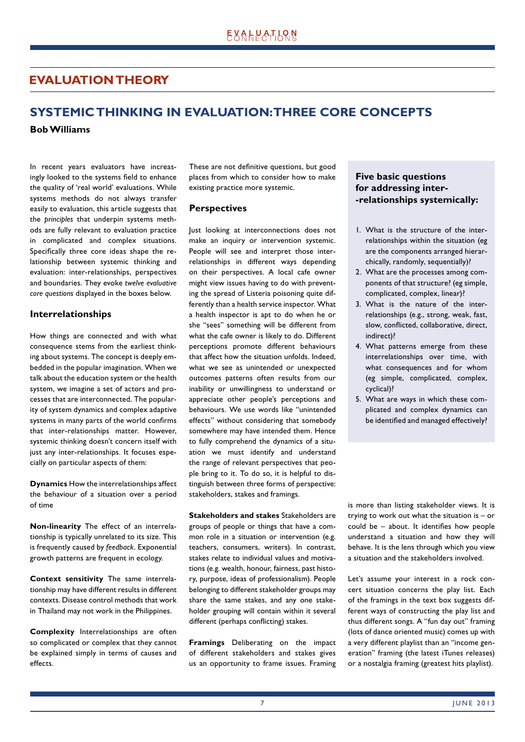## **EVALUATION THEORY**

# **SYSTEMIC THINKING IN EVALUATION: THREE CORE CONCEPTS**

**Bob Williams**

In recent years evaluators have increasingly looked to the systems field to enhance the quality of 'real world' evaluations. While systems methods do not always transfer easily to evaluation, this article suggests that the *principles* that underpin systems methods are fully relevant to evaluation practice in complicated and complex situations. Specifically three core ideas shape the relationship between systemic thinking and evaluation: inter-relationships, perspectives and boundaries. They evoke *twelve evaluative core questions* displayed in the boxes below.

## **Interrelationships**

How things are connected and with what consequence stems from the earliest thinking about systems. The concept is deeply embedded in the popular imagination. When we talk about the education system or the health system, we imagine a set of actors and processes that are interconnected. The popularity of system dynamics and complex adaptive systems in many parts of the world confirms that inter-relationships matter. However, systemic thinking doesn't concern itself with just any inter-relationships. It focuses especially on particular aspects of them:

**Dynamics** How the interrelationships affect the behaviour of a situation over a period of time

**Non-linearity** The effect of an interrelationship is typically unrelated to its size. This is frequently caused by *feedback*. Exponential growth patterns are frequent in ecology.

**Context sensitivity** The same interrelationship may have different results in different contexts. Disease control methods that work in Thailand may not work in the Philippines.

**Complexity** Interrelationships are often so complicated or complex that they cannot be explained simply in terms of causes and effects.

These are not definitive questions, but good places from which to consider how to make existing practice more systemic.

## **Perspectives**

Just looking at interconnections does not make an inquiry or intervention systemic. People will see and interpret those interrelationships in different ways depending on their perspectives. A local cafe owner might view issues having to do with preventing the spread of Listeria poisoning quite differently than a health service inspector. What a health inspector is apt to do when he or she "sees" something will be different from what the cafe owner is likely to do. Different perceptions promote different behaviours that affect how the situation unfolds. Indeed, what we see as unintended or unexpected outcomes patterns often results from our inability or unwillingness to understand or appreciate other people's perceptions and behaviours. We use words like "unintended effects" without considering that somebody somewhere may have intended them. Hence to fully comprehend the dynamics of a situation we must identify and understand the range of relevant perspectives that people bring to it. To do so, it is helpful to distinguish between three forms of perspective: stakeholders, stakes and framings.

**Stakeholders and stakes** Stakeholders are groups of people or things that have a common role in a situation or intervention (e.g. teachers, consumers, writers). In contrast, stakes relate to individual values and motivations (e.g. wealth, honour, fairness, past history, purpose, ideas of professionalism). People belonging to different stakeholder groups may share the same stakes, and any one stakeholder grouping will contain within it several different (perhaps conflicting) stakes.

**Framings** Deliberating on the impact of different stakeholders and stakes gives us an opportunity to frame issues. Framing

## **Five basic questions for addressing inter- -relationships systemically:**

- 1. What is the structure of the interrelationships within the situation (eg are the components arranged hierarchically, randomly, sequentially)?
- 2. What are the processes among components of that structure? (eg simple, complicated, complex, linear)?
- 3. What is the nature of the interrelationships (e.g., strong, weak, fast, slow, conflicted, collaborative, direct, indirect)?
- 4. What patterns emerge from these interrelationships over time, with what consequences and for whom (eg simple, complicated, complex, cyclical)?
- 5. What are ways in which these complicated and complex dynamics can be identified and managed effectively?

is more than listing stakeholder views. It is trying to work out what the situation is – or could be  $-$  about. It identifies how people understand a situation and how they will behave. It is the lens through which you view a situation and the stakeholders involved.

Let's assume your interest in a rock concert situation concerns the play list. Each of the framings in the text box suggests different ways of constructing the play list and thus different songs. A "fun day out" framing (lots of dance oriented music) comes up with a very different playlist than an "income generation" framing (the latest iTunes releases) or a nostalgia framing (greatest hits playlist).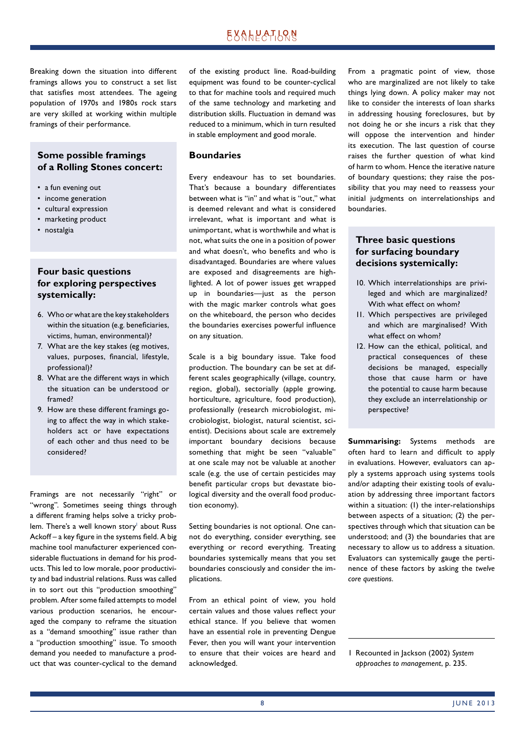Breaking down the situation into different framings allows you to construct a set list that satisfies most attendees. The ageing population of 1970s and 1980s rock stars are very skilled at working within multiple framings of their performance.

## **Some possible framings of a Rolling Stones concert:**

- a fun evening out
- income generation
- cultural expression
- marketing product
- nostalgia

## **Four basic questions for exploring perspectives systemically:**

- 6. Who or what are the key stake holders within the situation (e.g. beneficiaries, victims, human, environmental)?
- 7. What are the key stakes (eg motives, values, purposes, financial, lifestyle, professional)?
- 8. What are the different ways in which the situation can be understood or framed?
- 9. How are these different framings going to affect the way in which stakeholders act or have expectations of each other and thus need to be considered?

Framings are not necessarily "right" or "wrong". Sometimes seeing things through a different framing helps solve a tricky problem. There's a well known story' about Russ  $Acknowled. A$  key figure in the systems field. A big machine tool manufacturer experienced considerable fluctuations in demand for his products. This led to low morale, poor productivity and bad industrial relations. Russ was called in to sort out this "production smoothing" problem. After some failed attempts to model various production scenarios, he encouraged the company to reframe the situation as a "demand smoothing" issue rather than a "production smoothing" issue. To smooth demand you needed to manufacture a product that was counter-cyclical to the demand

of the existing product line. Road-building equipment was found to be counter-cyclical to that for machine tools and required much of the same technology and marketing and distribution skills. Fluctuation in demand was reduced to a minimum, which in turn resulted in stable employment and good morale.

### **Boundaries**

Every endeavour has to set boundaries. That's because a boundary differentiates between what is "in" and what is "out," what is deemed relevant and what is considered irrelevant, what is important and what is unimportant, what is worthwhile and what is not, what suits the one in a position of power and what doesn't, who benefits and who is disadvantaged. Boundaries are where values are exposed and disagreements are highlighted. A lot of power issues get wrapped up in boundaries—just as the person with the magic marker controls what goes on the whiteboard, the person who decides the boundaries exercises powerful influence on any situation.

Scale is a big boundary issue. Take food production. The boundary can be set at different scales geographically (village, country, region, global), sectorially (apple growing, horticulture, agriculture, food production), professionally (research microbiologist, microbiologist, biologist, natural scientist, scientist). Decisions about scale are extremely important boundary decisions because something that might be seen "valuable" at one scale may not be valuable at another scale (e.g. the use of certain pesticides may benefit particular crops but devastate biological diversity and the overall food production economy).

Setting boundaries is not optional. One cannot do everything, consider everything, see everything or record everything. Treating boundaries systemically means that you set boundaries consciously and consider the implications.

From an ethical point of view, you hold certain values and those values reflect your ethical stance. If you believe that women have an essential role in preventing Dengue Fever, then you will want your intervention to ensure that their voices are heard and acknowledged.

From a pragmatic point of view, those who are marginalized are not likely to take things lying down. A policy maker may not like to consider the interests of loan sharks in addressing housing foreclosures, but by not doing he or she incurs a risk that they will oppose the intervention and hinder its execution. The last question of course raises the further question of what kind of harm to whom. Hence the iterative nature of boundary questions; they raise the possibility that you may need to reassess your initial judgments on interrelationships and boundaries.

## **Three basic questions for surfacing boundary decisions systemically:**

- 10. Which interrelationships are privileged and which are marginalized? With what effect on whom?
- 11. Which perspectives are privileged and which are marginalised? With what effect on whom?
- 12. How can the ethical, political, and practical consequences of these decisions be managed, especially those that cause harm or have the potential to cause harm because they exclude an interrelationship or perspective?

**Summarising:** Systems methods are often hard to learn and difficult to apply in evaluations. However, evaluators can apply a systems approach using systems tools and/or adapting their existing tools of evaluation by addressing three important factors within a situation: (1) the inter-relationships between aspects of a situation; (2) the perspectives through which that situation can be understood; and (3) the boundaries that are necessary to allow us to address a situation. Evaluators can systemically gauge the pertinence of these factors by asking the *twelve core questions*.

1 Recounted in Jackson (2002) *System approaches to management*, p. 235.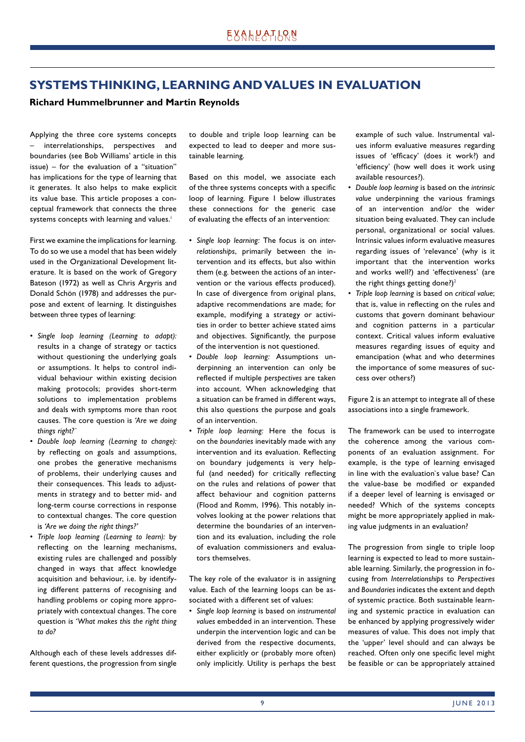## **SYSTEMS THINKING, LEARNING AND VALUES IN EVALUATION**

## **Richard Hummelbrunner and Martin Reynolds**

Applying the three core systems concepts interrelationships, perspectives and boundaries (see Bob Williams' article in this issue) – for the evaluation of a "situation" has implications for the type of learning that it generates. It also helps to make explicit its value base. This article proposes a conceptual framework that connects the three systems concepts with learning and values.<sup>1</sup>

First we examine the implications for learning. To do so we use a model that has been widely used in the Organizational Development literature. It is based on the work of Gregory Bateson (1972) as well as Chris Argyris and Donald Schön (1978) and addresses the purpose and extent of learning. It distinguishes between three types of learning:

- *Single loop learning (Learning to adapt):* results in a change of strategy or tactics without questioning the underlying goals or assumptions. It helps to control individual behaviour within existing decision making protocols; provides short-term solutions to implementation problems and deals with symptoms more than root causes. The core question is *'Are we doing things right?`*
- *Double loop learning (Learning to change):* by reflecting on goals and assumptions, one probes the generative mechanisms of problems, their underlying causes and their consequences. This leads to adjustments in strategy and to better mid- and long-term course corrections in response to contextual changes. The core question is *'Are we doing the right things?'*
- *Triple loop learning (Learning to learn):* by reflecting on the learning mechanisms, existing rules are challenged and possibly changed in ways that affect knowledge acquisition and behaviour, i.e. by identifying different patterns of recognising and handling problems or coping more appropriately with contextual changes. The core question is *'What makes this the right thing to do?*

Although each of these levels addresses different questions, the progression from single to double and triple loop learning can be expected to lead to deeper and more sustainable learning.

Based on this model, we associate each of the three systems concepts with a specific loop of learning. Figure 1 below illustrates these connections for the generic case of evaluating the effects of an intervention:

- *Single loop learning:* The focus is on *interrelationships*, primarily between the intervention and its effects, but also within them (e.g. between the actions of an intervention or the various effects produced). In case of divergence from original plans, adaptive recommendations are made; for example, modifying a strategy or activities in order to better achieve stated aims and objectives. Significantly, the purpose of the intervention is not questioned.
- *Double loop learning:* Assumptions underpinning an intervention can only be reflected if multiple *perspectives* are taken into account. When acknowledging that a situation can be framed in different ways, this also questions the purpose and goals of an intervention.
- *Triple loop learning:* Here the focus is on the *boundaries* inevitably made with any intervention and its evaluation. Reflecting on boundary judgements is very helpful (and needed) for critically reflecting on the rules and relations of power that affect behaviour and cognition patterns (Flood and Romm, 1996). This notably involves looking at the power relations that determine the boundaries of an intervention and its evaluation, including the role of evaluation commissioners and evaluators themselves.

The key role of the evaluator is in assigning value. Each of the learning loops can be associated with a different set of values:

• *Single loop learning* is based on *instrumental values* embedded in an intervention. These underpin the intervention logic and can be derived from the respective documents, either explicitly or (probably more often) only implicitly. Utility is perhaps the best example of such value. Instrumental values inform evaluative measures regarding issues of 'efficacy' (does it work?) and 'efficiency' (how well does it work using available resources?).

- *Double loop learning* is based on the *intrinsic value* underpinning the various framings of an intervention and/or the wider situation being evaluated. They can include personal, organizational or social values. Intrinsic values inform evaluative measures regarding issues of 'relevance' (why is it important that the intervention works and works well?) and 'effectiveness' (are the right things getting done?)<sup>2</sup>
- *Triple loop learning* is based on *critical value*; that is, value in reflecting on the rules and customs that govern dominant behaviour and cognition patterns in a particular context. Critical values inform evaluative measures regarding issues of equity and emancipation (what and who determines the importance of some measures of success over others?)

Figure 2 is an attempt to integrate all of these associations into a single framework.

The framework can be used to interrogate the coherence among the various components of an evaluation assignment. For example, is the type of learning envisaged in line with the evaluation`s value base? Can the value-base be modified or expanded if a deeper level of learning is envisaged or needed? Which of the systems concepts might be more appropriately applied in making value judgments in an evaluation?

The progression from single to triple loop learning is expected to lead to more sustainable learning. Similarly, the progression in focusing from *Interrelationships* to *Perspectives* and *Boundaries* indicates the extent and depth of systemic practice. Both sustainable learning and systemic practice in evaluation can be enhanced by applying progressively wider measures of value. This does not imply that the 'upper' level should and can always be reached. Often only one specific level might be feasible or can be appropriately attained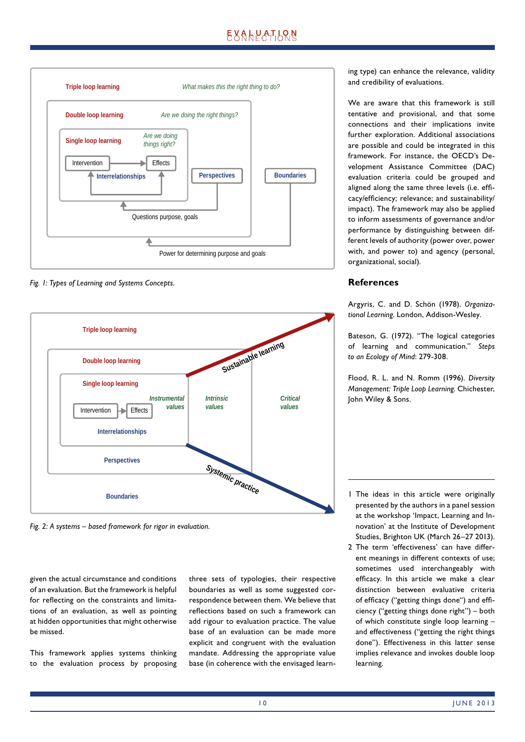# **EXALPATION**



*Fig. 1: Types of Learning and Systems Concepts.*



*Fig. 2: A systems – based framework for rigor in evaluation.*

given the actual circumstance and conditions of an evaluation. But the framework is helpful for reflecting on the constraints and limitations of an evaluation, as well as pointing at hidden opportunities that might otherwise be missed.

This framework applies systems thinking to the evaluation process by proposing three sets of typologies, their respective boundaries as well as some suggested correspondence between them. We believe that reflections based on such a framework can add rigour to evaluation practice. The value base of an evaluation can be made more explicit and congruent with the evaluation mandate. Addressing the appropriate value base (in coherence with the envisaged learning type) can enhance the relevance, validity and credibility of evaluations.

We are aware that this framework is still tentative and provisional, and that some connections and their implications invite further exploration. Additional associations are possible and could be integrated in this framework. For instance, the OECD's Development Assistance Committee (DAC) evaluation criteria could be grouped and aligned along the same three levels (i.e. efficacy/efficiency; relevance; and sustainability/ impact). The framework may also be applied to inform assessments of governance and/or performance by distinguishing between different levels of authority (power over, power with, and power to) and agency (personal, organizational, social).

## **References**

Argyris, C. and D. Schön (1978). *Organizational Learning*. London, Addison-Wesley.

Bateson, G. (1972). "The logical categories of learning and communication." *Steps to an Ecology of Mind*: 279-308.

Flood, R. L. and N. Romm (1996). *Diversity Management: Triple Loop Learning*. Chichester, John Wiley & Sons.

- 1 The ideas in this article were originally presented by the authors in a panel session at the workshop 'Impact, Learning and Innovation' at the Institute of Development Studies, Brighton UK (March 26–27 2013).
- 2 The term 'effectiveness' can have different meanings in different contexts of use; sometimes used interchangeably with efficacy. In this article we make a clear distinction between evaluative criteria of efficacy ("getting things done") and efficiency ("getting things done right") – both of which constitute single loop learning – and effectiveness ("getting the right things done"). Effectiveness in this latter sense implies relevance and invokes double loop learning.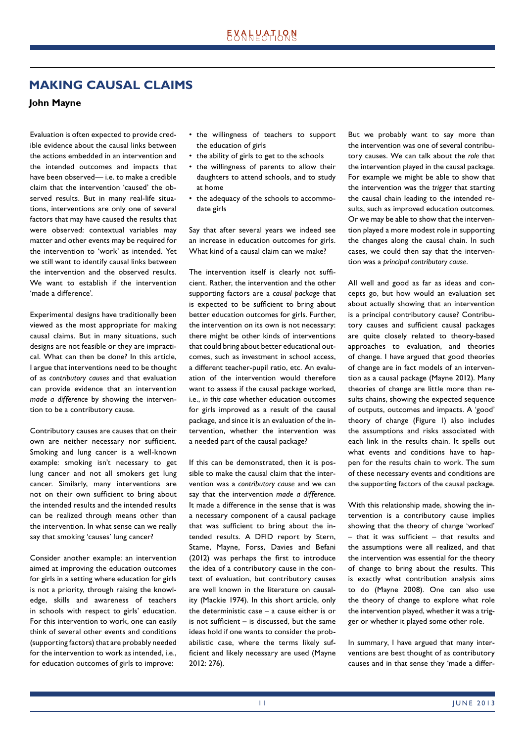## **MAKING CAUSAL CLAIMS**

## **John Mayne**

Evaluation is often expected to provide credible evidence about the causal links between the actions embedded in an intervention and the intended outcomes and impacts that have been observed— i.e. to make a credible claim that the intervention 'caused' the observed results. But in many real-life situations, interventions are only one of several factors that may have caused the results that were observed: contextual variables may matter and other events may be required for the intervention to 'work' as intended. Yet we still want to identify causal links between the intervention and the observed results. We want to establish if the intervention 'made a difference'.

Experimental designs have traditionally been viewed as the most appropriate for making causal claims. But in many situations, such designs are not feasible or they are impractical. What can then be done? In this article, I argue that interventions need to be thought of as *contributory causes* and that evaluation can provide evidence that an intervention *made a difference* by showing the intervention to be a contributory cause.

Contributory causes are causes that on their own are neither necessary nor sufficient. Smoking and lung cancer is a well-known example: smoking isn't necessary to get lung cancer and not all smokers get lung cancer. Similarly, many interventions are not on their own sufficient to bring about the intended results and the intended results can be realized through means other than the intervention. In what sense can we really say that smoking 'causes' lung cancer?

Consider another example: an intervention aimed at improving the education outcomes for girls in a setting where education for girls is not a priority, through raising the knowledge, skills and awareness of teachers in schools with respect to girls' education. For this intervention to work, one can easily think of several other events and conditions (supporting factors) that are probably needed for the intervention to work as intended, i.e., for education outcomes of girls to improve:

- the willingness of teachers to support the education of girls
- the ability of girls to get to the schools
- the willingness of parents to allow their daughters to attend schools, and to study at home
- the adequacy of the schools to accommodate girls

Say that after several years we indeed see an increase in education outcomes for girls. What kind of a causal claim can we make?

The intervention itself is clearly not sufficient. Rather, the intervention and the other supporting factors are a *causal package* that is expected to be sufficient to bring about better education outcomes for girls. Further, the intervention on its own is not necessary: there might be other kinds of interventions that could bring about better educational outcomes, such as investment in school access, a different teacher-pupil ratio, etc. An evaluation of the intervention would therefore want to assess if the causal package worked, i.e., *in this case* whether education outcomes for girls improved as a result of the causal package, and since it is an evaluation of the intervention, whether the intervention was a needed part of the causal package?

If this can be demonstrated, then it is possible to make the causal claim that the intervention was a *contributory cause* and we can say that the intervention *made a difference*. It made a difference in the sense that is was a necessary component of a causal package that was sufficient to bring about the intended results. A DFID report by Stern, Stame, Mayne, Forss, Davies and Befani (2012) was perhaps the first to introduce the idea of a contributory cause in the context of evaluation, but contributory causes are well known in the literature on causality (Mackie 1974). In this short article, only the deterministic case – a cause either is or is not sufficient  $-$  is discussed, but the same ideas hold if one wants to consider the probabilistic case, where the terms likely sufficient and likely necessary are used (Mayne 2012: 276).

But we probably want to say more than the intervention was one of several contributory causes. We can talk about the *role* that the intervention played in the causal package. For example we might be able to show that the intervention was the *trigger* that starting the causal chain leading to the intended results, such as improved education outcomes. Or we may be able to show that the intervention played a more modest role in supporting the changes along the causal chain. In such cases, we could then say that the intervention was a *principal contributory cause*.

All well and good as far as ideas and concepts go, but how would an evaluation set about actually showing that an intervention is a principal contributory cause? Contributory causes and sufficient causal packages are quite closely related to theory-based approaches to evaluation, and theories of change. I have argued that good theories of change are in fact models of an intervention as a causal package (Mayne 2012). Many theories of change are little more than results chains, showing the expected sequence of outputs, outcomes and impacts. A 'good' theory of change (Figure 1) also includes the assumptions and risks associated with each link in the results chain. It spells out what events and conditions have to happen for the results chain to work. The sum of these necessary events and conditions are the supporting factors of the causal package.

With this relationship made, showing the intervention is a contributory cause implies showing that the theory of change 'worked'  $-$  that it was sufficient  $-$  that results and the assumptions were all realized, and that the intervention was essential for the theory of change to bring about the results. This is exactly what contribution analysis aims to do (Mayne 2008). One can also use the theory of change to explore what role the intervention played, whether it was a trigger or whether it played some other role.

In summary, I have argued that many interventions are best thought of as contributory causes and in that sense they 'made a differ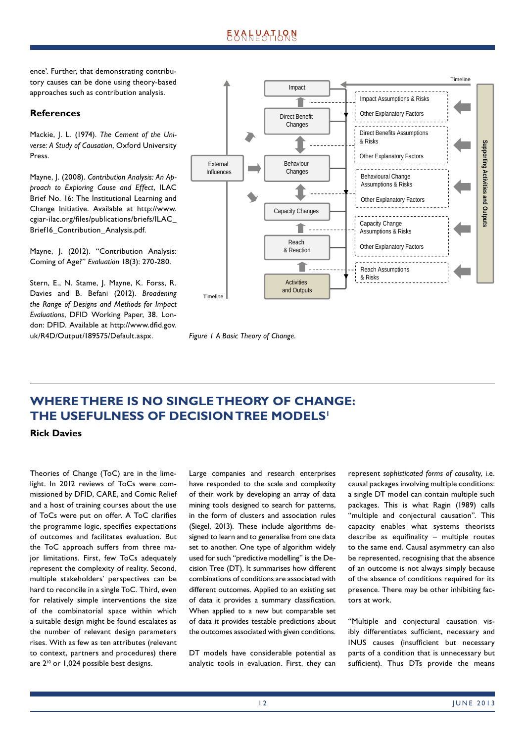ence'. Further, that demonstrating contributory causes can be done using theory-based approaches such as contribution analysis.

## **References**

Mackie, J. L. (1974). *The Cement of the Universe: A Study of Causation*, Oxford University Press.

Mayne, J. (2008). *Contribution Analysis: An Approach to Exploring Cause and Effect*, ILAC Brief No. 16: The Institutional Learning and Change Initiative. Available at http://www. cgiar-ilac.org/files/publications/briefs/ILAC Brief16 Contribution Analysis.pdf.

Mayne, J. (2012). "Contribution Analysis: Coming of Age?" *Evaluation* 18(3): 270-280.

Stern, E., N. Stame, J. Mayne, K. Forss, R. Davies and B. Befani (2012). *Broadening the Range of Designs and Methods for Impact Evaluations*, DFID Working Paper, 38. London: DFID. Available at http://www.dfid.gov. uk/R4D/Output/189575/Default.aspx.





# **WHERE THERE IS NO SINGLE THEORY OF CHANGE: THE USEFULNESS OF DECISION TREE MODELS1**

**Rick Davies**

Theories of Change (ToC) are in the limelight. In 2012 reviews of ToCs were commissioned by DFID, CARE, and Comic Relief and a host of training courses about the use of ToCs were put on offer. A ToC clarifies the programme logic, specifies expectations of outcomes and facilitates evaluation. But the ToC approach suffers from three major limitations. First, few ToCs adequately represent the complexity of reality. Second, multiple stakeholders' perspectives can be hard to reconcile in a single ToC. Third, even for relatively simple interventions the size of the combinatorial space within which a suitable design might be found escalates as the number of relevant design parameters rises. With as few as ten attributes (relevant to context, partners and procedures) there are 2<sup>10</sup> or 1,024 possible best designs.

Large companies and research enterprises have responded to the scale and complexity of their work by developing an array of data mining tools designed to search for patterns, in the form of clusters and association rules (Siegel, 2013). These include algorithms designed to learn and to generalise from one data set to another. One type of algorithm widely used for such "predictive modelling" is the Decision Tree (DT). It summarises how different combinations of conditions are associated with different outcomes. Applied to an existing set of data it provides a summary classification. When applied to a new but comparable set of data it provides testable predictions about the outcomes associated with given conditions.

DT models have considerable potential as analytic tools in evaluation. First, they can

represent *sophisticated forms of causality*, i.e. causal packages involving multiple conditions: a single DT model can contain multiple such packages. This is what Ragin (1989) calls "multiple and conjectural causation". This capacity enables what systems theorists  $describe$  as equifinality – multiple routes to the same end. Causal asymmetry can also be represented, recognising that the absence of an outcome is not always simply because of the absence of conditions required for its presence. There may be other inhibiting factors at work.

"Multiple and conjectural causation visibly differentiates sufficient, necessary and INUS causes (insufficient but necessary parts of a condition that is unnecessary but sufficient). Thus DTs provide the means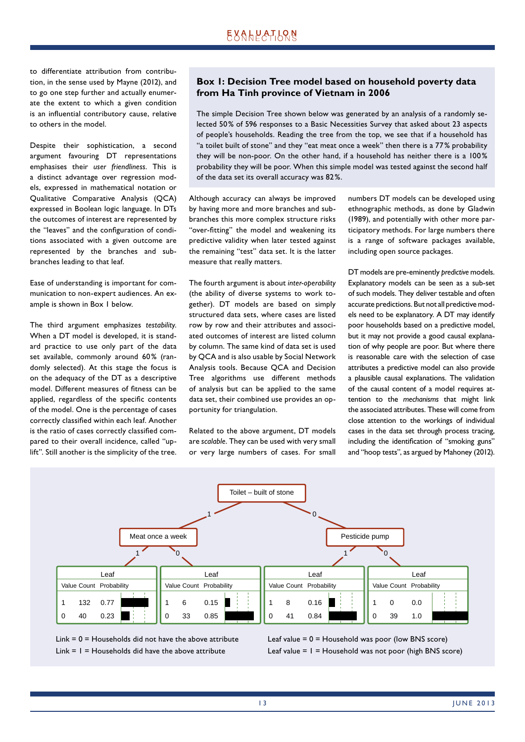# EXALPATLRN

to differentiate attribution from contribution, in the sense used by Mayne (2012), and to go one step further and actually enumerate the extent to which a given condition is an influential contributory cause, relative to others in the model.

Despite their sophistication, a second argument favouring DT representations emphasises their *user friendliness*. This is a distinct advantage over regression models, expressed in mathematical notation or Qualitative Comparative Analysis (QCA) expressed in Boolean logic language. In DTs the outcomes of interest are represented by the "leaves" and the configuration of conditions associated with a given outcome are represented by the branches and subbranches leading to that leaf.

Ease of understanding is important for communication to non-expert audiences. An example is shown in Box 1 below.

The third argument emphasizes *testability*. When a DT model is developed, it is standard practice to use only part of the data set available, commonly around 60% (randomly selected). At this stage the focus is on the adequacy of the DT as a descriptive model. Different measures of fitness can be applied, regardless of the specific contents of the model. One is the percentage of cases correctly classified within each leaf. Another is the ratio of cases correctly classified compared to their overall incidence, called "uplift". Still another is the simplicity of the tree.

## **Box 1: Decision Tree model based on household poverty data from Ha Tinh province of Vietnam in 2006**

The simple Decision Tree shown below was generated by an analysis of a randomly selected 50 % of 596 responses to a Basic Necessities Survey that asked about 23 aspects of people's households. Reading the tree from the top, we see that if a household has "a toilet built of stone" and they "eat meat once a week" then there is a 77 % probability they will be non-poor. On the other hand, if a household has neither there is a 100 % probability they will be poor. When this simple model was tested against the second half of the data set its overall accuracy was 82 %.

Although accuracy can always be improved by having more and more branches and subbranches this more complex structure risks "over-fitting" the model and weakening its predictive validity when later tested against the remaining "test" data set. It is the latter measure that really matters.

The fourth argument is about *inter-operability* (the ability of diverse systems to work together). DT models are based on simply structured data sets, where cases are listed row by row and their attributes and associated outcomes of interest are listed column by column. The same kind of data set is used by QCA and is also usable by Social Network Analysis tools. Because QCA and Decision Tree algorithms use different methods of analysis but can be applied to the same data set, their combined use provides an opportunity for triangulation.

Related to the above argument, DT models are *scalable*. They can be used with very small or very large numbers of cases. For small

numbers DT models can be developed using ethnographic methods, as done by Gladwin (1989), and potentially with other more participatory methods. For large numbers there is a range of software packages available, including open source packages.

DT models are pre-eminently *predictive* models. Explanatory models can be seen as a sub-set of such models. They deliver testable and often accurate predictions. But not all predictive models need to be explanatory. A DT may identify poor households based on a predictive model, but it may not provide a good causal explanation of why people are poor. But where there is reasonable care with the selection of case attributes a predictive model can also provide a plausible causal explanations. The validation of the causal content of a model requires attention to the *mechanisms* that might link the associated attributes. These will come from close attention to the workings of individual cases in the data set through process tracing, including the identification of "smoking guns" and "hoop tests", as argued by Mahoney (2012).



Link  $= 0 =$  Households did not have the above attribute Link  $= 1 =$  Households did have the above attribute

Leaf value  $= 0 =$  Household was poor (low BNS score) Leaf value  $= 1 =$  Household was not poor (high BNS score)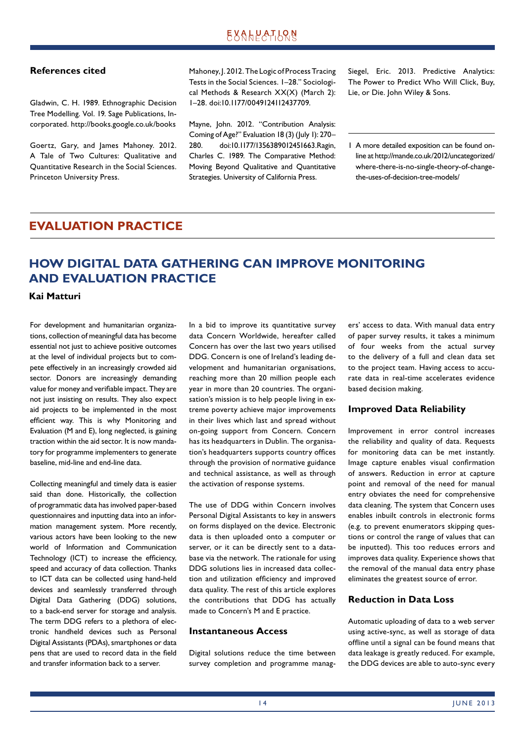## **References cited**

Gladwin, C. H. 1989. Ethnographic Decision Tree Modelling. Vol. 19. Sage Publications, Incorporated. http://books.google.co.uk/books

Goertz, Gary, and James Mahoney. 2012. A Tale of Two Cultures: Qualitative and Quantitative Research in the Social Sciences. Princeton University Press.

Mahoney, J. 2012. The Logic of Process Tracing Tests in the Social Sciences. 1–28." Sociological Methods & Research XX(X) (March 2): 1–28. doi:10.1177/0049124112437709.

Mayne, John. 2012. "Contribution Analysis: Coming of Age?" Evaluation 18 (3) (July 1): 270– 280. doi:10.1177/1356389012451663.Ragin, Charles C. 1989. The Comparative Method: Moving Beyond Qualitative and Quantitative Strategies. University of California Press.

Siegel, Eric. 2013. Predictive Analytics: The Power to Predict Who Will Click, Buy, Lie, or Die. John Wiley & Sons.

1 A more detailed exposition can be found online at http://mande.co.uk/2012/uncategorized/ where-there-is-no-single-theory-of-changethe-uses-of-decision-tree-models/

## **EVALUATION PRACTICE**

# **HOW DIGITAL DATA GATHERING CAN IMPROVE MONITORING AND EVALUATION PRACTICE**

## **Kai Matturi**

For development and humanitarian organizations, collection of meaningful data has become essential not just to achieve positive outcomes at the level of individual projects but to compete effectively in an increasingly crowded aid sector. Donors are increasingly demanding value for money and verifiable impact. They are not just insisting on results. They also expect aid projects to be implemented in the most efficient way. This is why Monitoring and Evaluation (M and E), long neglected, is gaining traction within the aid sector. It is now mandatory for programme implementers to generate baseline, mid-line and end-line data.

Collecting meaningful and timely data is easier said than done. Historically, the collection of programmatic data has involved paper-based questionnaires and inputting data into an information management system. More recently, various actors have been looking to the new world of Information and Communication Technology (ICT) to increase the efficiency, speed and accuracy of data collection. Thanks to ICT data can be collected using hand-held devices and seamlessly transferred through Digital Data Gathering (DDG) solutions, to a back-end server for storage and analysis. The term DDG refers to a plethora of electronic handheld devices such as Personal Digital Assistants (PDAs), smartphones or data pens that are used to record data in the field and transfer information back to a server.

In a bid to improve its quantitative survey data Concern Worldwide, hereafter called Concern has over the last two years utilised DDG. Concern is one of Ireland's leading development and humanitarian organisations, reaching more than 20 million people each year in more than 20 countries. The organisation's mission is to help people living in extreme poverty achieve major improvements in their lives which last and spread without on-going support from Concern. Concern has its headquarters in Dublin. The organisation's headquarters supports country offices through the provision of normative guidance and technical assistance, as well as through the activation of response systems.

The use of DDG within Concern involves Personal Digital Assistants to key in answers on forms displayed on the device. Electronic data is then uploaded onto a computer or server, or it can be directly sent to a database via the network. The rationale for using DDG solutions lies in increased data collection and utilization efficiency and improved data quality. The rest of this article explores the contributions that DDG has actually made to Concern's M and E practice.

## **Instantaneous Access**

Digital solutions reduce the time between survey completion and programme managers' access to data. With manual data entry of paper survey results, it takes a minimum of four weeks from the actual survey to the delivery of a full and clean data set to the project team. Having access to accurate data in real-time accelerates evidence based decision making.

## **Improved Data Reliability**

Improvement in error control increases the reliability and quality of data. Requests for monitoring data can be met instantly. Image capture enables visual confirmation of answers. Reduction in error at capture point and removal of the need for manual entry obviates the need for comprehensive data cleaning. The system that Concern uses enables inbuilt controls in electronic forms (e.g. to prevent enumerators skipping questions or control the range of values that can be inputted). This too reduces errors and improves data quality. Experience shows that the removal of the manual data entry phase eliminates the greatest source of error.

## **Reduction in Data Loss**

Automatic uploading of data to a web server using active-sync, as well as storage of data offline until a signal can be found means that data leakage is greatly reduced. For example, the DDG devices are able to auto-sync every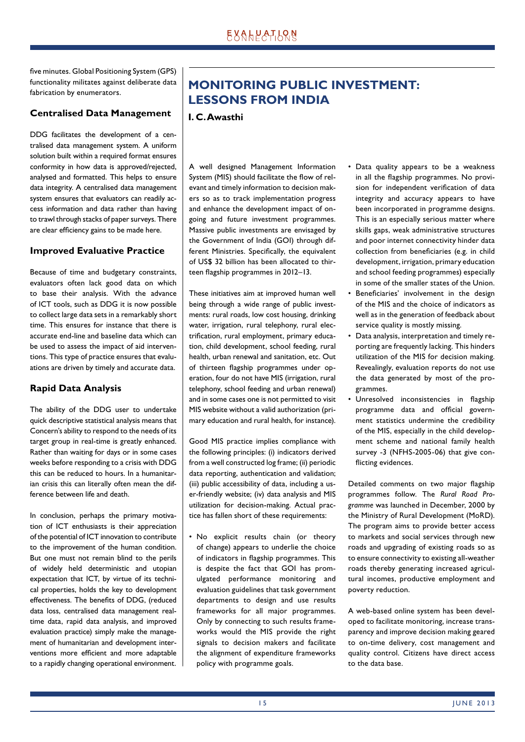five minutes. Global Positioning System (GPS) functionality militates against deliberate data fabrication by enumerators.

## **Centralised Data Management**

DDG facilitates the development of a centralised data management system. A uniform solution built within a required format ensures conformity in how data is approved/rejected, analysed and formatted. This helps to ensure data integrity. A centralised data management system ensures that evaluators can readily access information and data rather than having to trawl through stacks of paper surveys. There are clear efficiency gains to be made here.

## **Improved Evaluative Practice**

Because of time and budgetary constraints, evaluators often lack good data on which to base their analysis. With the advance of ICT tools, such as DDG it is now possible to collect large data sets in a remarkably short time. This ensures for instance that there is accurate end-line and baseline data which can be used to assess the impact of aid interventions. This type of practice ensures that evaluations are driven by timely and accurate data.

## **Rapid Data Analysis**

The ability of the DDG user to undertake quick descriptive statistical analysis means that Concern's ability to respond to the needs of its target group in real-time is greatly enhanced. Rather than waiting for days or in some cases weeks before responding to a crisis with DDG this can be reduced to hours. In a humanitarian crisis this can literally often mean the difference between life and death.

In conclusion, perhaps the primary motivation of ICT enthusiasts is their appreciation of the potential of ICT innovation to contribute to the improvement of the human condition. But one must not remain blind to the perils of widely held deterministic and utopian expectation that ICT, by virtue of its technical properties, holds the key to development effectiveness. The benefits of DDG, (reduced data loss, centralised data management realtime data, rapid data analysis, and improved evaluation practice) simply make the management of humanitarian and development interventions more efficient and more adaptable to a rapidly changing operational environment.

# **MONITORING PUBLIC INVESTMENT: LESSONS FROM INDIA**

## **I. C. Awasthi**

A well designed Management Information System (MIS) should facilitate the flow of relevant and timely information to decision makers so as to track implementation progress and enhance the development impact of ongoing and future investment programmes. Massive public investments are envisaged by the Government of India (GOI) through different Ministries. Specifically, the equivalent of US\$ 32 billion has been allocated to thirteen flagship programmes in 2012-13.

These initiatives aim at improved human well being through a wide range of public investments: rural roads, low cost housing, drinking water, irrigation, rural telephony, rural electrification, rural employment, primary education, child development, school feeding, rural health, urban renewal and sanitation, etc. Out of thirteen flagship programmes under operation, four do not have MIS (irrigation, rural telephony, school feeding and urban renewal) and in some cases one is not permitted to visit MIS website without a valid authorization (primary education and rural health, for instance).

Good MIS practice implies compliance with the following principles: (i) indicators derived from a well constructed log frame; (ii) periodic data reporting, authentication and validation; (iii) public accessibility of data, including a user-friendly website; (iv) data analysis and MIS utilization for decision-making. Actual practice has fallen short of these requirements:

• No explicit results chain (or theory of change) appears to underlie the choice of indicators in flagship programmes. This is despite the fact that GOI has promulgated performance monitoring and evaluation guidelines that task government departments to design and use results frameworks for all major programmes. Only by connecting to such results frameworks would the MIS provide the right signals to decision makers and facilitate the alignment of expenditure frameworks policy with programme goals.

- Data quality appears to be a weakness in all the flagship programmes. No provision for independent verification of data integrity and accuracy appears to have been incorporated in programme designs. This is an especially serious matter where skills gaps, weak administrative structures and poor internet connectivity hinder data collection from beneficiaries (e.g. in child development, irrigation, primary education and school feeding programmes) especially in some of the smaller states of the Union.
- Beneficiaries' involvement in the design of the MIS and the choice of indicators as well as in the generation of feedback about service quality is mostly missing.
- Data analysis, interpretation and timely reporting are frequently lacking. This hinders utilization of the MIS for decision making. Revealingly, evaluation reports do not use the data generated by most of the programmes.
- Unresolved inconsistencies in flagship programme data and official government statistics undermine the credibility of the MIS, especially in the child development scheme and national family health survey -3 (NFHS-2005-06) that give conflicting evidences.

Detailed comments on two major flagship programmes follow. The *Rural Road Programme* was launched in December, 2000 by the Ministry of Rural Development (MoRD). The program aims to provide better access to markets and social services through new roads and upgrading of existing roads so as to ensure connectivity to existing all-weather roads thereby generating increased agricultural incomes, productive employment and poverty reduction.

A web-based online system has been developed to facilitate monitoring, increase transparency and improve decision making geared to on-time delivery, cost management and quality control. Citizens have direct access to the data base.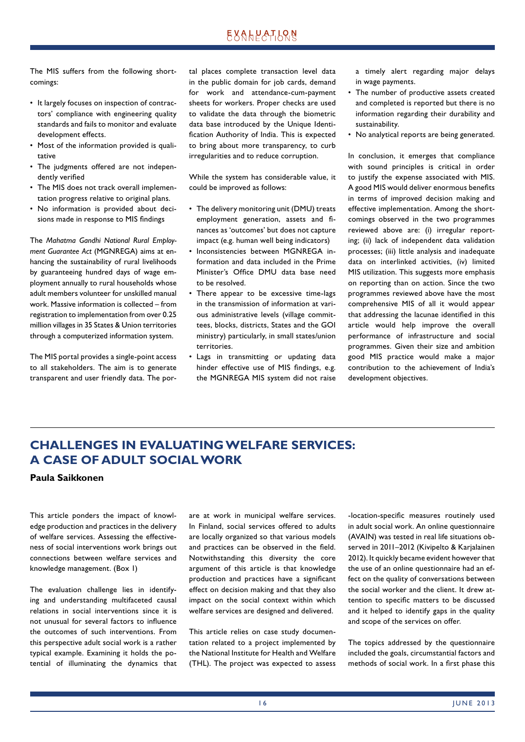The MIS suffers from the following shortcomings:

- It largely focuses on inspection of contractors' compliance with engineering quality standards and fails to monitor and evaluate development effects.
- Most of the information provided is qualitative
- The judgments offered are not independently verified
- The MIS does not track overall implementation progress relative to original plans.
- No information is provided about decisions made in response to MIS findings

The *Mahatma Gandhi National Rural Employment Guarantee Act* (MGNREGA) aims at enhancing the sustainability of rural livelihoods by guaranteeing hundred days of wage employment annually to rural households whose adult members volunteer for unskilled manual work. Massive information is collected – from registration to implementation from over 0.25 million villages in 35 States & Union territories through a computerized information system.

The MIS portal provides a single-point access to all stakeholders. The aim is to generate transparent and user friendly data. The portal places complete transaction level data in the public domain for job cards, demand for work and attendance-cum-payment sheets for workers. Proper checks are used to validate the data through the biometric data base introduced by the Unique Identification Authority of India. This is expected to bring about more transparency, to curb irregularities and to reduce corruption.

While the system has considerable value, it could be improved as follows:

- The delivery monitoring unit (DMU) treats employment generation, assets and finances as 'outcomes' but does not capture impact (e.g. human well being indicators)
- Inconsistencies between MGNREGA information and data included in the Prime Minister's Office DMU data base need to be resolved.
- There appear to be excessive time-lags in the transmission of information at various administrative levels (village committees, blocks, districts, States and the GOI ministry) particularly, in small states/union territories.
- Lags in transmitting or updating data hinder effective use of MIS findings, e.g. the MGNREGA MIS system did not raise

a timely alert regarding major delays in wage payments.

- The number of productive assets created and completed is reported but there is no information regarding their durability and sustainability.
- No analytical reports are being generated.

In conclusion, it emerges that compliance with sound principles is critical in order to justify the expense associated with MIS. A good MIS would deliver enormous benefits in terms of improved decision making and effective implementation. Among the shortcomings observed in the two programmes reviewed above are: (i) irregular reporting; (ii) lack of independent data validation processes; (iii) little analysis and inadequate data on interlinked activities, (iv) limited MIS utilization. This suggests more emphasis on reporting than on action. Since the two programmes reviewed above have the most comprehensive MIS of all it would appear that addressing the lacunae identified in this article would help improve the overall performance of infrastructure and social programmes. Given their size and ambition good MIS practice would make a major contribution to the achievement of India's development objectives.

# **CHALLENGES IN EVALUATING WELFARE SERVICES: A CASE OF ADULT SOCIAL WORK**

## **Paula Saikkonen**

This article ponders the impact of knowledge production and practices in the delivery of welfare services. Assessing the effectiveness of social interventions work brings out connections between welfare services and knowledge management. (Box 1)

The evaluation challenge lies in identifying and understanding multifaceted causal relations in social interventions since it is not unusual for several factors to influence the outcomes of such interventions. From this perspective adult social work is a rather typical example. Examining it holds the potential of illuminating the dynamics that are at work in municipal welfare services. In Finland, social services offered to adults are locally organized so that various models and practices can be observed in the field. Notwithstanding this diversity the core argument of this article is that knowledge production and practices have a significant effect on decision making and that they also impact on the social context within which welfare services are designed and delivered.

This article relies on case study documentation related to a project implemented by the National Institute for Health and Welfare (THL). The project was expected to assess -location-specific measures routinely used in adult social work. An online questionnaire (AVAIN) was tested in real life situations observed in 2011–2012 (Kivipelto & Karialainen 2012). It quickly became evident however that the use of an online questionnaire had an effect on the quality of conversations between the social worker and the client. It drew attention to specific matters to be discussed and it helped to identify gaps in the quality and scope of the services on offer.

The topics addressed by the questionnaire included the goals, circumstantial factors and methods of social work. In a first phase this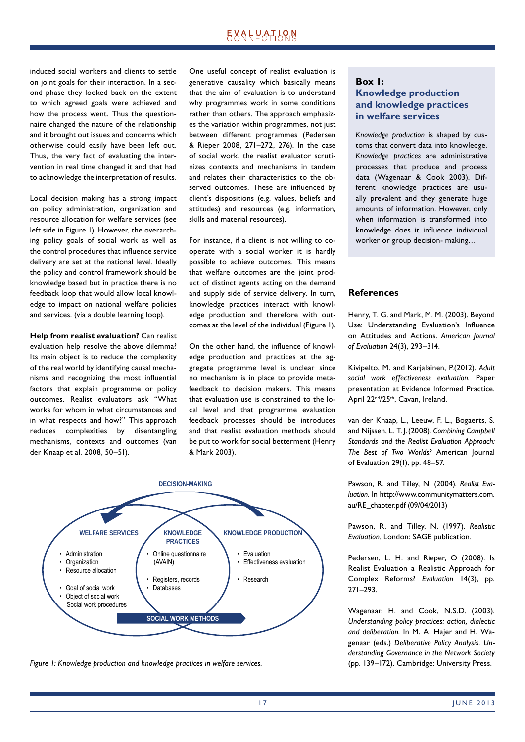induced social workers and clients to settle on joint goals for their interaction. In a second phase they looked back on the extent to which agreed goals were achieved and how the process went. Thus the questionnaire changed the nature of the relationship and it brought out issues and concerns which other wise could easily have been left out. Thus, the very fact of evaluating the intervention in real time changed it and that had to acknowledge the interpretation of results.

Local decision making has a strong impact on policy administration, organization and resource allocation for welfare services (see left side in Figure 1). However, the overarching policy goals of social work as well as the control procedures that influence service delivery are set at the national level. Ideally the policy and control framework should be knowledge based but in practice there is no feedback loop that would allow local knowledge to impact on national welfare policies and services. (via a double learning loop).

**Help from realist evaluation?** Can realist evaluation help resolve the above dilemma? Its main object is to reduce the complexity of the real world by identifying causal mechanisms and recognizing the most influential factors that explain programme or policy outcomes. Realist evaluators ask "What works for whom in what circumstances and in what respects and how?" This approach reduces complexities by disentangling mechanisms, contexts and outcomes (van der Knaap et al. 2008, 50–51).

One useful concept of realist evaluation is generative causality which basically means that the aim of evaluation is to understand why programmes work in some conditions rather than others. The approach emphasizes the variation within programmes, not just between different programmes (Pedersen & Rieper 2008, 271–272, 276). In the case of social work, the realist evaluator scrutinizes contexts and mechanisms in tandem and relates their characteristics to the observed outcomes. These are influenced by client's dispositions (e.g. values, beliefs and attitudes) and resources (e.g. information, skills and material resources).

For instance, if a client is not willing to cooperate with a social worker it is hardly possible to achieve outcomes. This means that welfare outcomes are the joint product of distinct agents acting on the demand and supply side of service delivery. In turn, knowledge practices interact with knowledge production and therefore with outcomes at the level of the individual (Figure 1).

On the other hand, the influence of knowledge production and practices at the aggregate programme level is unclear since no mechanism is in place to provide metafeedback to decision makers. This means that evaluation use is constrained to the local level and that programme evaluation feedback processes should be introduces and that realist evaluation methods should be put to work for social betterment (Henry & Mark 2003).



*Figure 1: Knowledge production and knowledge practices in welfare services.*

## **Box 1: Knowledge production and knowledge practices in welfare services**

*Knowledge production* is shaped by customs that convert data into knowledge. *Knowledge practices* are administrative processes that produce and process data (Wagenaar & Cook 2003). Different knowledge practices are usually prevalent and they generate huge amounts of information. However, only when information is transformed into knowledge does it influence individual worker or group decision- making…

## **References**

Henry, T. G. and Mark, M. M. (2003). Beyond Use: Understanding Evaluation's Influence on Attitudes and Actions. *American Journal of Evaluation* 24(3), 293–314.

Kivipelto, M. and Karjalainen, P.(2012). *Adult social work effectiveness evaluation.* Paper presentation at Evidence Informed Practice. April 22nd/25th, Cavan, Ireland.

van der Knaap, L., Leeuw, F. L., Bogaerts, S. and Nijssen, L. T. J. (2008). *Combining Cam pbell Standards and the Realist Evaluation Approach: The Best of Two Worlds?* American Journal of Evaluation 29(1), pp. 48–57.

Pawson, R. and Tilley, N. (2004). *Realist Evaluation*. In http://www.communitymatters.com. au/RE\_chapter.pdf (09/04/2013)

Pawson, R. and Tilley, N. (1997). *Realistic Evaluation.* London: SAGE publication.

Pedersen, L. H. and Rieper, O (2008). Is Realist Evaluation a Realistic Approach for Complex Reforms? *Evaluation* 14(3), pp. 271–293.

Wagenaar, H. and Cook, N.S.D. (2003). *Understanding policy practices: action, dialectic and deliberation.* In M. A. Hajer and H. Wagenaar (eds.) *Deliberative Policy Analysis. Understanding Governance in the Network Society* (pp. 139–172). Cambridge: University Press.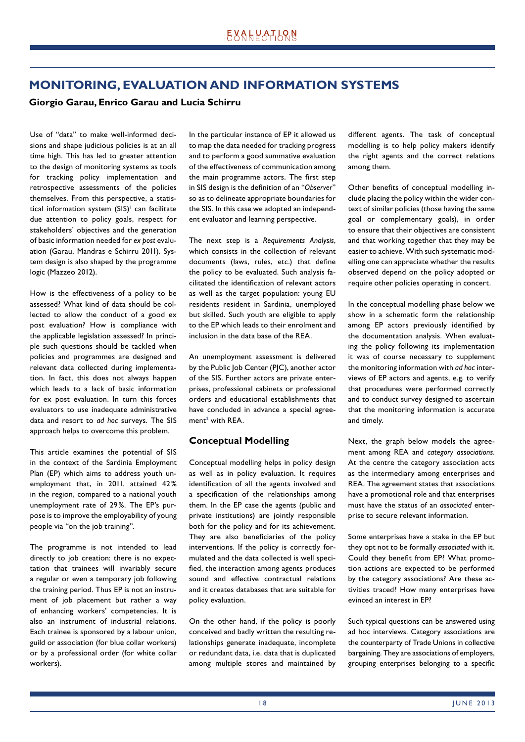## **MONITORING, EVALUATION AND INFORMATION SYSTEMS**

## **Giorgio Garau, Enrico Garau and Lucia Schirru**

Use of "data" to make well-informed decisions and shape judicious policies is at an all time high. This has led to greater attention to the design of monitoring systems as tools for tracking policy implementation and retrospective assessments of the policies themselves. From this perspective, a statistical information system  $(SIS)^{\perp}$  can facilitate due attention to policy goals, respect for stakeholders' objectives and the generation of basic information needed for *ex post* evaluation (Garau, Mandras e Schirru 2011). System design is also shaped by the programme logic (Mazzeo 2012).

How is the effectiveness of a policy to be assessed? What kind of data should be collected to allow the conduct of a good ex post evaluation? How is compliance with the applicable legislation assessed? In principle such questions should be tackled when policies and programmes are designed and relevant data collected during implementation. In fact, this does not always happen which leads to a lack of basic information for ex post evaluation. In turn this forces evaluators to use inadequate administrative data and resort to *ad hoc* surveys. The SIS approach helps to overcome this problem.

This article examines the potential of SIS in the context of the Sardinia Employment Plan (EP) which aims to address youth unemployment that, in 2011, attained 42 % in the region, compared to a national youth unemployment rate of 29 %. The EP's purpose is to improve the employability of young people via "on the job training".

The programme is not intended to lead directly to job creation: there is no expectation that trainees will invariably secure a regular or even a temporary job following the training period. Thus EP is not an instrument of job placement but rather a way of enhancing workers' competencies. It is also an instrument of industrial relations. Each trainee is sponsored by a labour union, guild or association (for blue collar workers) or by a professional order (for white collar workers).

In the particular instance of EP it allowed us to map the data needed for tracking progress and to perform a good summative evaluation of the effectiveness of communication among the main programme actors. The first step in SIS design is the definition of an "Observer" so as to delineate appropriate boundaries for the SIS. In this case we adopted an independent evaluator and learning perspective.

The next step is a *Requirements Analysis*, which consists in the collection of relevant documents (laws, rules, etc.) that define the policy to be evaluated. Such analysis facilitated the identification of relevant actors as well as the target population: young EU residents resident in Sardinia, unemployed but skilled. Such youth are eligible to apply to the EP which leads to their enrolment and inclusion in the data base of the REA.

An unemployment assessment is delivered by the Public Job Center (PJC), another actor of the SIS. Further actors are private enterprises, professional cabinets or professional orders and educational establishments that have concluded in advance a special agreement $^2$  with REA.

## **Conceptual Modelling**

Conceptual modelling helps in policy design as well as in policy evaluation. It requires identification of all the agents involved and a specification of the relationships among them. In the EP case the agents (public and private institutions) are jointly responsible both for the policy and for its achievement. They are also beneficiaries of the policy interventions. If the policy is correctly formulated and the data collected is well specified, the interaction among agents produces sound and effective contractual relations and it creates databases that are suitable for policy evaluation.

On the other hand, if the policy is poorly conceived and badly written the resulting relationships generate inadequate, incomplete or redundant data, i.e. data that is duplicated among multiple stores and maintained by different agents. The task of conceptual modelling is to help policy makers identify the right agents and the correct relations among them.

Other benefits of conceptual modelling include placing the policy within the wider context of similar policies (those having the same goal or complementary goals), in order to ensure that their objectives are consistent and that working together that they may be easier to achieve. With such systematic modelling one can appreciate whether the results observed depend on the policy adopted or require other policies operating in concert.

In the conceptual modelling phase below we show in a schematic form the relationship among EP actors previously identified by the documentation analysis. When evaluating the policy following its implementation it was of course necessary to supplement the monitoring information with *ad hoc* interviews of EP actors and agents, e.g. to verify that procedures were performed correctly and to conduct survey designed to ascertain that the monitoring information is accurate and timely.

Next, the graph below models the agreement among REA and *category associations*. At the centre the category association acts as the intermediary among enterprises and REA. The agreement states that associations have a promotional role and that enterprises must have the status of an *associated* enterprise to secure relevant information.

Some enterprises have a stake in the EP but they opt not to be formally *associated* with it. Could they benefit from EP? What promotion actions are expected to be performed by the category associations? Are these activities traced? How many enterprises have evinced an interest in EP?

Such typical questions can be answered using ad hoc interviews. Category associations are the counterparty of Trade Unions in collective bargaining. They are associations of employers, grouping enterprises belonging to a specific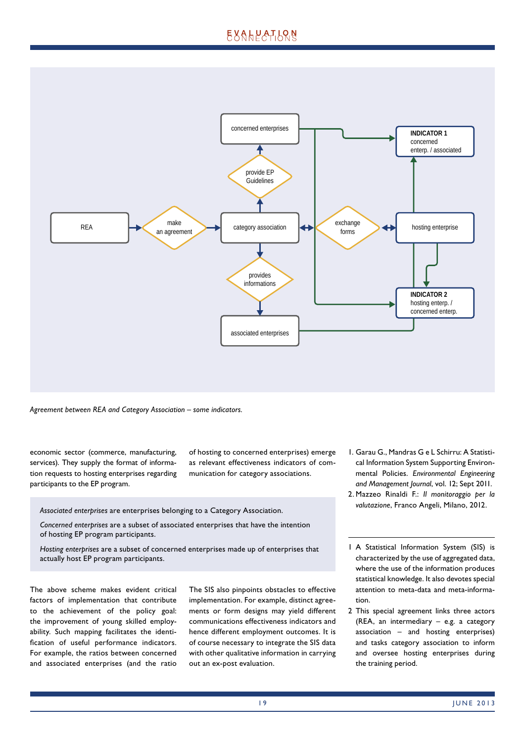# EXALPATLRN



*Agreement between REA and Category Association – some indicators.*

economic sector (commerce, manufacturing, services). They supply the format of information requests to hosting enterprises regarding participants to the EP program.

of hosting to concerned enterprises) emerge as relevant effectiveness indicators of communication for category associations.

*Associated enterprises* are enterprises belonging to a Category Association.

*Concerned enterprises* are a subset of associated enterprises that have the intention of hosting EP program participants.

*Hosting enterprises* are a subset of concerned enterprises made up of enterprises that actually host EP program participants.

The above scheme makes evident critical factors of implementation that contribute to the achievement of the policy goal: the improvement of young skilled employability. Such mapping facilitates the identification of useful performance indicators. For example, the ratios between concerned and associated enterprises (and the ratio The SIS also pinpoints obstacles to effective implementation. For example, distinct agreements or form designs may yield different communications effectiveness indicators and hence different employment outcomes. It is of course necessary to integrate the SIS data with other qualitative information in carrying out an ex-post evaluation.

- 1. Garau G., Mandras G e L Schirru: A Statistical Information System Supporting Environmental Policies. *Environmental Engineering and Management Journal*, vol. 12; Sept 2011.
- 2. Mazzeo Rinaldi F.: *Il monitoraggio per la valutazione*, Franco Angeli, Milano, 2012.
- 1 A Statistical Information System (SIS) is characterized by the use of aggregated data, where the use of the information produces statistical knowledge. It also devotes special attention to meta-data and meta-information.
- 2 This special agreement links three actors (REA, an intermediary – e.g. a category association – and hosting enterprises) and tasks category association to inform and oversee hosting enterprises during the training period.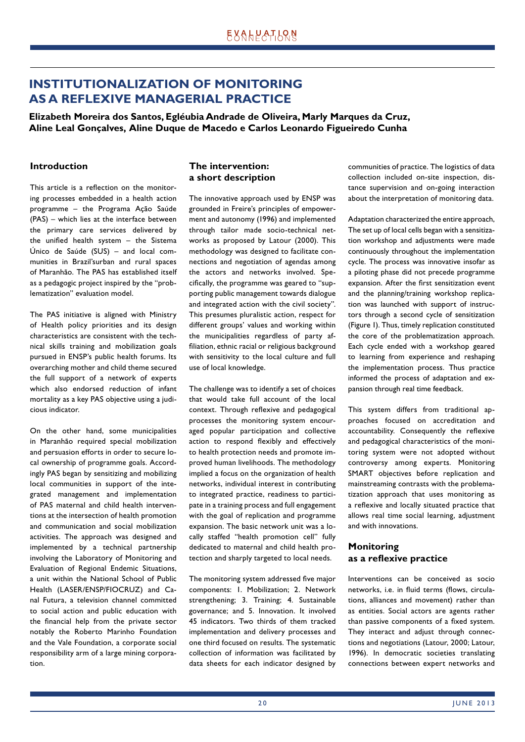# **INSTITUTIONALIZATION OF MONITORING AS A REFLEXIVE MANAGERIAL PRACTICE**

**Elizabeth Moreira dos Santos, Egléubia Andrade de Oliveira, Marly Marques da Cruz, Aline Leal Gonçalves, Aline Duque de Macedo e Carlos Leonardo Figueiredo Cunha**

## **Introduction**

This article is a reflection on the monitoring processes embedded in a health action programme – the Programa Ação Saúde (PAS) – which lies at the interface between the primary care services delivered by the unified health system  $-$  the Sistema Único de Saúde (SUS) – and local communities in Brazil'surban and rural spaces of Maranhão. The PAS has established itself as a pedagogic project inspired by the "problematization" evaluation model.

The PAS initiative is aligned with Ministry of Health policy priorities and its design characteristics are consistent with the technical skills training and mobilization goals pursued in ENSP's public health forums. Its overarching mother and child theme secured the full support of a network of experts which also endorsed reduction of infant mortality as a key PAS objective using a judicious indicator.

On the other hand, some municipalities in Maranhão required special mobilization and persuasion efforts in order to secure local ownership of programme goals. Accordingly PAS began by sensitizing and mobilizing local communities in support of the integrated management and implementation of PAS maternal and child health interventions at the intersection of health promotion and communication and social mobilization activities. The approach was designed and implemented by a technical partnership involving the Laboratory of Monitoring and Evaluation of Regional Endemic Situations, a unit within the National School of Public Health (LASER/ENSP/FIOCRUZ) and Canal Futura, a television channel committed to social action and public education with the financial help from the private sector notably the Roberto Marinho Foundation and the Vale Foundation, a corporate social responsibility arm of a large mining corporation.

## **The intervention: a short description**

The innovative approach used by ENSP was grounded in Freire's principles of empowerment and autonomy (1996) and implemented through tailor made socio-technical networks as proposed by Latour (2000). This methodology was designed to facilitate connections and negotiation of agendas among the actors and networks involved. Specifi cally, the programme was geared to "supporting public management towards dialogue and integrated action with the civil society". This presumes pluralistic action, respect for different groups' values and working within the municipalities regardless of party affiliation, ethnic racial or religious background with sensitivity to the local culture and full use of local knowledge.

The challenge was to identify a set of choices that would take full account of the local context. Through reflexive and pedagogical processes the monitoring system encouraged popular participation and collective action to respond flexibly and effectively to health protection needs and promote improved human livelihoods. The methodology implied a focus on the organization of health networks, individual interest in contributing to integrated practice, readiness to participate in a training process and full engagement with the goal of replication and programme expansion. The basic network unit was a locally staffed "health promotion cell" fully dedicated to maternal and child health protection and sharply targeted to local needs.

The monitoring system addressed five major components: 1. Mobilization; 2. Network strengthening; 3. Training; 4. Sustainable governance; and 5. Innovation. It involved 45 indicators. Two thirds of them tracked implementation and delivery processes and one third focused on results. The systematic collection of information was facilitated by data sheets for each indicator designed by communities of practice. The logistics of data collection included on-site inspection, distance supervision and on-going interaction about the interpretation of monitoring data.

Adaptation characterized the entire approach, The set up of local cells began with a sensitization workshop and adjustments were made continuously throughout the implementation cycle. The process was innovative insofar as a piloting phase did not precede programme expansion. After the first sensitization event and the planning/training workshop replication was launched with support of instructors through a second cycle of sensitization (Figure 1). Thus, timely replication constituted the core of the problematization approach. Each cycle ended with a workshop geared to learning from experience and reshaping the implementation process. Thus practice informed the process of adaptation and expansion through real time feedback.

This system differs from traditional approaches focused on accreditation and accountability. Consequently the reflexive and pedagogical characteristics of the monitoring system were not adopted without controversy among experts. Monitoring SMART objectives before replication and mainstreaming contrasts with the problematization approach that uses monitoring as a reflexive and locally situated practice that allows real time social learning, adjustment and with innovations.

## **Monitoring as a refl exive practice**

Interventions can be conceived as socio networks, i.e. in fluid terms (flows, circulations, alliances and movement) rather than as entities. Social actors are agents rather than passive components of a fixed system. They interact and adjust through connections and negotiations (Latour, 2000; Latour, 1996). In democratic societies translating connections between expert networks and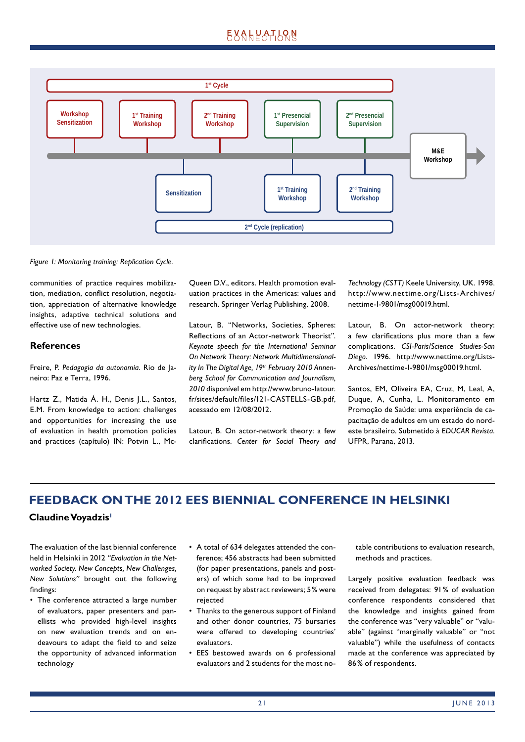

*Figure 1: Monitoring training: Replication Cycle.*

communities of practice requires mobilization, mediation, conflict resolution, negotiation, appreciation of alternative knowledge insights, adaptive technical solutions and effective use of new technologies.

## **References**

Freire, P. *Pedagogia da autonomia*. Rio de Janeiro: Paz e Terra, 1996.

Hartz Z., Matida Á. H., Denis J.L., Santos, E.M. From knowledge to action: challenges and opportunities for increasing the use of evaluation in health promotion policies and practices (capítulo) IN: Potvin L., McQueen D.V., editors. Health promotion evaluation practices in the Americas: values and research. Springer Verlag Publishing, 2008.

Latour, B. "Networks, Societies, Spheres: Reflections of an Actor-network Theorist". *Keynote speech for the International Seminar On Network Theory: Network Multidimensionality In The Digital Age, 19th February 2010 Annenberg School for Communication and Journalism, 2010* disponível em http://www.bruno-latour. fr/sites/default/files/121-CASTELLS-GB.pdf, acessado em 12/08/2012.

Latour, B. On actor-network theory: a few clarifi cations. *Center for Social Theory and*  *Technology (CSTT)* Keele University, UK. 1998. http://www.nettime.org/Lists-Archives/ nettime-I-9801/msg00019.html.

Latour, B. On actor-network theory: a few clarifications plus more than a few complications. *CSI-Paris/Science Studies-San Diego*. 1996. http://www.nettime.org/Lists-Archives/nettime-I-9801/msg00019.html.

Santos, EM, Oliveira EA, Cruz, M, Leal, A, Duque, A, Cunha, L. Monitoramento em Promoção de Saúde: uma experiência de capacitação de adultos em um estado do nordeste brasileiro. Submetido à *EDUCAR Revista*. UFPR, Parana, 2013.

## **FEEDBACK ON THE 2012 EES BIENNIAL CONFERENCE IN HELSINKI**

## **Claudine Voyadzis1**

The evaluation of the last biennial conference held in Helsinki in 2012 *"Evaluation in the Networked Society. New Concepts, New Challenges, New Solutions"* brought out the following findings:

- The conference attracted a large number of evaluators, paper presenters and panellists who provided high-level insights on new evaluation trends and on endeavours to adapt the field to and seize the opportunity of advanced information technology
- A total of 634 delegates attended the conference; 456 abstracts had been submitted (for paper presentations, panels and posters) of which some had to be improved on request by abstract reviewers; 5 % were rejected
- Thanks to the generous support of Finland and other donor countries, 75 bursaries were offered to developing countries' evaluators.
- EES bestowed awards on 6 professional evaluators and 2 students for the most no-

table contributions to evaluation research, methods and practices.

Largely positive evaluation feedback was received from delegates: 91 % of evaluation conference respondents considered that the knowledge and insights gained from the conference was "very valuable" or "valuable" (against "marginally valuable" or "not valuable") while the usefulness of contacts made at the conference was appreciated by 86 % of respondents.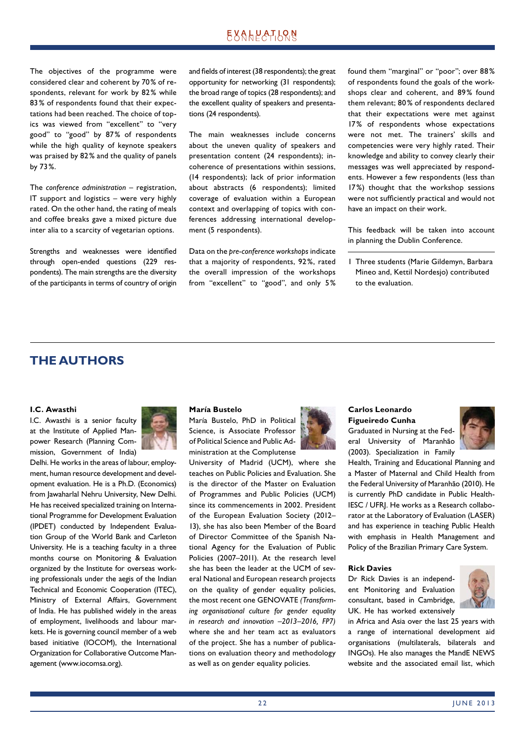## **EXALPATION**

The objectives of the programme were considered clear and coherent by 70 % of respondents, relevant for work by 82% while 83 % of respondents found that their expectations had been reached. The choice of topics was viewed from "excellent" to "very good" to "good" by 87% of respondents while the high quality of keynote speakers was praised by 82% and the quality of panels by 73 %.

The *conference administration* – registration, IT support and logistics – were very highly rated. On the other hand, the rating of meals and coffee breaks gave a mixed picture due inter alia to a scarcity of vegetarian options.

Strengths and weaknesses were identified through open-ended questions (229 respondents). The main strengths are the diversity of the participants in terms of country of origin and fields of interest (38 respondents); the great opportunity for networking (31 respondents); the broad range of topics (28 respondents); and the excellent quality of speakers and presentations (24 respondents).

The main weaknesses include concerns about the uneven quality of speakers and presentation content (24 respondents); incoherence of presentations within sessions, (14 respondents); lack of prior information about abstracts (6 respondents); limited coverage of evaluation within a European context and overlapping of topics with conferences addressing international development (5 respondents).

Data on the *pre-conference workshops* indicate that a majority of respondents, 92 %, rated the overall impression of the workshops from "excellent" to "good", and only 5 % found them "marginal" or "poor"; over 88 % of respondents found the goals of the workshops clear and coherent, and 89% found them relevant; 80 % of respondents declared that their expectations were met against 17% of respondents whose expectations were not met. The trainers' skills and competencies were very highly rated. Their knowledge and ability to convey clearly their messages was well appreciated by respondents. However a few respondents (less than 17 %) thought that the workshop sessions were not sufficiently practical and would not have an impact on their work.

This feedback will be taken into account in planning the Dublin Conference.

1 Three students (Marie Gildemyn, Barbara Mineo and, Kettil Nordesjo) contributed to the evaluation.

## **THE AUTHORS**

## **I.C. Awasthi**

I.C. Awasthi is a senior faculty at the Institute of Applied Manpower Research (Planning Commission, Government of India)



#### **María Bustelo**

María Bustelo, PhD in Political Science, is Associate Professor of Political Science and Public Administration at the Complutense

University of Madrid (UCM), where she teaches on Public Policies and Evaluation. She is the director of the Master on Evaluation of Programmes and Public Policies (UCM) since its commencements in 2002. President of the European Evaluation Society (2012– 13), she has also been Member of the Board of Director Committee of the Spanish National Agency for the Evaluation of Public Policies (2007–2011). At the research level she has been the leader at the UCM of several National and European research projects on the quality of gender equality policies, the most recent one GENOVATE *(Transforming organisational culture for gender equality in research and innovation –2013–2016, FP7)* where she and her team act as evaluators of the project. She has a number of publications on evaluation theory and methodology as well as on gender equality policies.



## **Carlos Leonardo Figueiredo Cunha**

Graduated in Nursing at the Federal University of Maranhão (2003). Specialization in Family



Health, Training and Educational Planning and a Master of Maternal and Child Health from the Federal University of Maranhão (2010). He is currently PhD candidate in Public Health-IESC / UFRJ. He works as a Research collaborator at the Laboratory of Evaluation (LASER) and has experience in teaching Public Health with emphasis in Health Management and Policy of the Brazilian Primary Care System.

#### **Rick Davies**

Dr Rick Davies is an independent Monitoring and Evaluation consultant, based in Cambridge, UK. He has worked extensively



in Africa and Asia over the last 25 years with a range of international development aid organisations (multilaterals, bilaterals and INGOs). He also manages the MandE NEWS website and the associated email list, which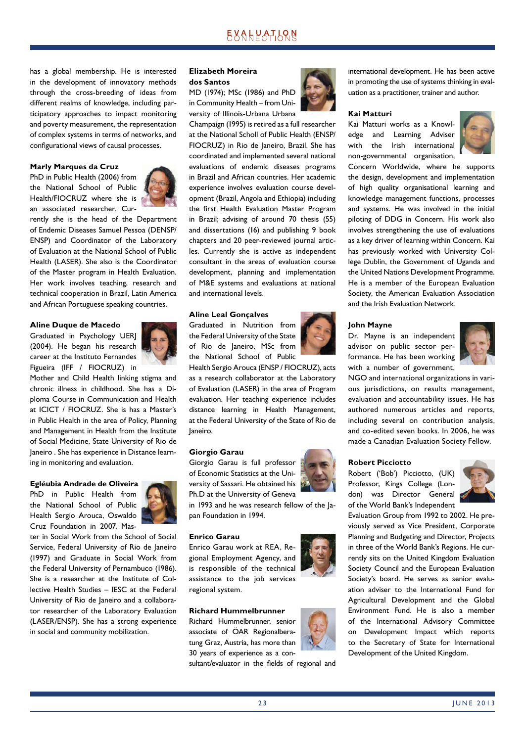has a global membership. He is interested in the development of innovatory methods through the cross-breeding of ideas from different realms of knowledge, including participatory approaches to impact monitoring and poverty measurement, the representation of complex systems in terms of networks, and configurational views of causal processes.

#### **Marly Marques da Cruz**

PhD in Public Health (2006) from the National School of Public Health/FIOCRUZ where she is an associated researcher. Cur-



rently she is the head of the Department of Endemic Diseases Samuel Pessoa (DENSP/ ENSP) and Coordinator of the Laboratory of Evaluation at the National School of Public Health (LASER). She also is the Coordinator of the Master program in Health Evaluation. Her work involves teaching, research and technical cooperation in Brazil, Latin America and African Portuguese speaking countries.

#### **Aline Duque de Macedo**

Graduated in Psychology UERJ (2004). He began his research career at the Instituto Fernandes Figueira (IFF / FIOCRUZ) in



Mother and Child Health linking stigma and chronic illness in childhood. She has a Diploma Course in Communication and Health at ICICT / FIOCRUZ. She is has a Master's in Public Health in the area of Policy, Planning and Management in Health from the Institute of Social Medicine, State University of Rio de Janeiro . She has experience in Distance learning in monitoring and evaluation.

#### **Egléubia Andrade de Oliveira**

PhD in Public Health from the National School of Public Health Sergio Arouca, Oswaldo Cruz Foundation in 2007, Mas-



ter in Social Work from the School of Social Service, Federal University of Rio de Janeiro (1997) and Graduate in Social Work from the Federal University of Pernambuco (1986). She is a researcher at the Institute of Collective Health Studies – IESC at the Federal University of Rio de Janeiro and a collaborator researcher of the Laboratory Evaluation (LASER/ENSP). She has a strong experience in social and community mobilization.

## **Elizabeth Moreira dos Santos**

MD (1974); MSc (1986) and PhD in Community Health – from University of Illinois-Urbana Urbana

Champaign (1995) is retired as a full researcher at the National Scholl of Public Health (ENSP/ FIOCRUZ) in Rio de Janeiro, Brazil. She has coordinated and implemented several national evaluations of endemic diseases programs in Brazil and African countries. Her academic experience involves evaluation course development (Brazil, Angola and Ethiopia) including the first Health Evaluation Master Program in Brazil; advising of around 70 thesis (55) and dissertations (16) and publishing 9 book chapters and 20 peer-reviewed journal articles. Currently she is active as independent consultant in the areas of evaluation course development, planning and implementation of M&E systems and evaluations at national and international levels.

## **Aline Leal Gonçalves**

Graduated in Nutrition from the Federal University of the State of Rio de Janeiro, MSc from the National School of Public

Health Sergio Arouca (ENSP / FIOCRUZ), acts as a research collaborator at the Laboratory of Evaluation (LASER) in the area of Program evaluation. Her teaching experience includes distance learning in Health Management, at the Federal University of the State of Rio de Janeiro.

#### **Giorgio Garau**

Giorgio Garau is full professor of Economic Statistics at the University of Sassari. He obtained his Ph.D at the University of Geneva

in 1993 and he was research fellow of the Japan Foundation in 1994.

#### **Enrico Garau**

Enrico Garau work at REA, Regional Employment Agency, and is responsible of the technical assistance to the job services regional system.

## **Richard Hummelbrunner**

Richard Hummelbrunner, senior associate of ÖAR Regionalberatung Graz, Austria, has more than 30 years of experience as a con-

sultant/evaluator in the fields of regional and



international development. He has been active in promoting the use of systems thinking in evaluation as a practitioner, trainer and author.

## **Kai Matturi**

Kai Matturi works as a Knowledge and Learning Adviser with the Irish international non-governmental organisation,



Concern Worldwide, where he supports the design, development and implementation of high quality organisational learning and knowledge management functions, processes and systems. He was involved in the initial piloting of DDG in Concern. His work also involves strengthening the use of evaluations as a key driver of learning within Concern. Kai has previously worked with University College Dublin, the Government of Uganda and the United Nations Development Programme. He is a member of the European Evaluation Society, the American Evaluation Association and the Irish Evaluation Network.

#### **John Mayne**

Dr. Mayne is an independent advisor on public sector performance. He has been working with a number of government,



NGO and international organizations in various jurisdictions, on results management, evaluation and accountability issues. He has authored numerous articles and reports, including several on contribution analysis, and co-edited seven books. In 2006, he was made a Canadian Evaluation Society Fellow.

#### **Robert Picciotto**

Robert ('Bob') Picciotto, (UK) Professor, Kings College (London) was Director General of the World Bank's Independent



Evaluation Group from 1992 to 2002. He previously served as Vice President, Corporate Planning and Budgeting and Director, Projects in three of the World Bank's Regions. He currently sits on the United Kingdom Evaluation Society Council and the European Evaluation Society's board. He serves as senior evaluation adviser to the International Fund for Agricultural Development and the Global Environment Fund. He is also a member of the International Advisory Committee on Development Impact which reports to the Secretary of State for International Development of the United Kingdom.